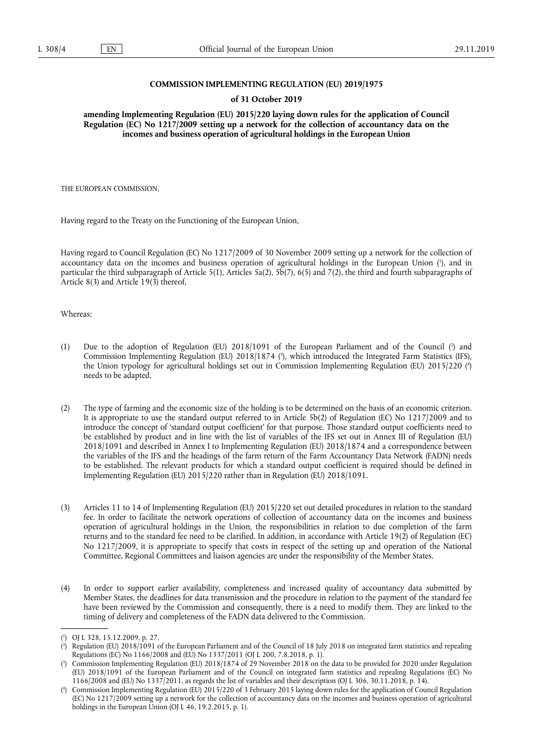### **COMMISSION IMPLEMENTING REGULATION (EU) 2019/1975**

#### **of 31 October 2019**

**amending Implementing Regulation (EU) 2015/220 laying down rules for the application of Council Regulation (EC) No 1217/2009 setting up a network for the collection of accountancy data on the incomes and business operation of agricultural holdings in the European Union** 

THE EUROPEAN COMMISSION,

Having regard to the Treaty on the Functioning of the European Union,

Having regard to Council Regulation (EC) No 1217/2009 of 30 November 2009 setting up a network for the collection of accountancy data on the incomes and business operation of agricultural holdings in the European Union ( 1 ), and in particular the third subparagraph of Article 5(1), Articles 5a(2),  $5\overline{b}(7)$ , 6(5) and 7(2), the third and fourth subparagraphs of Article 8(3) and Article 19(3) thereof,

Whereas:

- (1) Due to the adoption of Regulation (EU) 2018/1091 of the European Parliament and of the Council (?) and Commission Implementing Regulation (EU) 2018/1874 (<sup>3</sup>), which introduced the Integrated Farm Statistics (IFS), the Union typology for agricultural holdings set out in Commission Implementing Regulation (EU) 2015/220 ( 4 ) needs to be adapted.
- (2) The type of farming and the economic size of the holding is to be determined on the basis of an economic criterion. It is appropriate to use the standard output referred to in Article 5b(2) of Regulation (EC) No 1217/2009 and to introduce the concept of 'standard output coefficient' for that purpose. Those standard output coefficients need to be established by product and in line with the list of variables of the IFS set out in Annex III of Regulation (EU) 2018/1091 and described in Annex I to Implementing Regulation (EU) 2018/1874 and a correspondence between the variables of the IFS and the headings of the farm return of the Farm Accountancy Data Network (FADN) needs to be established. The relevant products for which a standard output coefficient is required should be defined in Implementing Regulation (EU) 2015/220 rather than in Regulation (EU) 2018/1091.
- (3) Articles 11 to 14 of Implementing Regulation (EU) 2015/220 set out detailed procedures in relation to the standard fee. In order to facilitate the network operations of collection of accountancy data on the incomes and business operation of agricultural holdings in the Union, the responsibilities in relation to due completion of the farm returns and to the standard fee need to be clarified. In addition, in accordance with Article 19(2) of Regulation (EC) No 1217/2009, it is appropriate to specify that costs in respect of the setting up and operation of the National Committee, Regional Committees and liaison agencies are under the responsibility of the Member States.
- (4) In order to support earlier availability, completeness and increased quality of accountancy data submitted by Member States, the deadlines for data transmission and the procedure in relation to the payment of the standard fee have been reviewed by the Commission and consequently, there is a need to modify them. They are linked to the timing of delivery and completeness of the FADN data delivered to the Commission.

<sup>(</sup> 1 ) OJ L 328, 15.12.2009, p. 27.

 $($ <sup>2</sup> ) Regulation (EU) 2018/1091 of the European Parliament and of the Council of 18 July 2018 on integrated farm statistics and repealing Regulations (EC) No 1166/2008 and (EU) No 1337/2011 (OJ L 200, 7.8.2018, p. 1).

<sup>(</sup> 3 ) Commission Implementing Regulation (EU) 2018/1874 of 29 November 2018 on the data to be provided for 2020 under Regulation (EU) 2018/1091 of the European Parliament and of the Council on integrated farm statistics and repealing Regulations (EC) No  $1166/2008$  and (EU) No 1337/2011, as regards the list of variables and their description (OJ L 306, 30.11.2018, p. 14).

<sup>(</sup> 4 ) Commission Implementing Regulation (EU) 2015/220 of 3 February 2015 laying down rules for the application of Council Regulation (EC) No 1217/2009 setting up a network for the collection of accountancy data on the incomes and business operation of agricultural holdings in the European Union (OJ L 46, 19.2.2015, p. 1).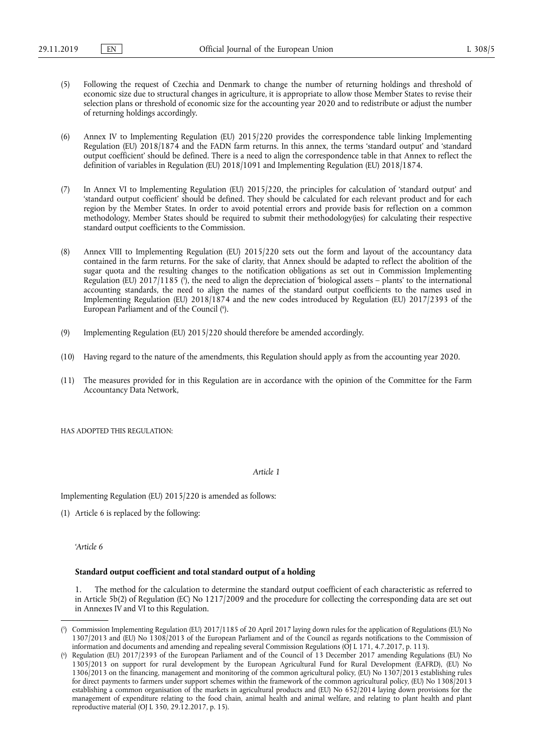- (5) Following the request of Czechia and Denmark to change the number of returning holdings and threshold of economic size due to structural changes in agriculture, it is appropriate to allow those Member States to revise their selection plans or threshold of economic size for the accounting year 2020 and to redistribute or adjust the number of returning holdings accordingly.
- (6) Annex IV to Implementing Regulation (EU) 2015/220 provides the correspondence table linking Implementing Regulation (EU) 2018/1874 and the FADN farm returns. In this annex, the terms 'standard output' and 'standard output coefficient' should be defined. There is a need to align the correspondence table in that Annex to reflect the definition of variables in Regulation (EU) 2018/1091 and Implementing Regulation (EU) 2018/1874.
- (7) In Annex VI to Implementing Regulation (EU) 2015/220, the principles for calculation of 'standard output' and 'standard output coefficient' should be defined. They should be calculated for each relevant product and for each region by the Member States. In order to avoid potential errors and provide basis for reflection on a common methodology, Member States should be required to submit their methodology(ies) for calculating their respective standard output coefficients to the Commission.
- (8) Annex VIII to Implementing Regulation (EU) 2015/220 sets out the form and layout of the accountancy data contained in the farm returns. For the sake of clarity, that Annex should be adapted to reflect the abolition of the sugar quota and the resulting changes to the notification obligations as set out in Commission Implementing Regulation (EU) 2017/1185 (5), the need to align the depreciation of 'biological assets – plants' to the international accounting standards, the need to align the names of the standard output coefficients to the names used in Implementing Regulation (EU) 2018/1874 and the new codes introduced by Regulation (EU) 2017/2393 of the European Parliament and of the Council (<sup>6</sup>).
- (9) Implementing Regulation (EU) 2015/220 should therefore be amended accordingly.
- (10) Having regard to the nature of the amendments, this Regulation should apply as from the accounting year 2020.
- (11) The measures provided for in this Regulation are in accordance with the opinion of the Committee for the Farm Accountancy Data Network,

HAS ADOPTED THIS REGULATION:

*Article 1* 

Implementing Regulation (EU) 2015/220 is amended as follows:

(1) Article 6 is replaced by the following:

*'Article 6* 

#### **Standard output coefficient and total standard output of a holding**

1. The method for the calculation to determine the standard output coefficient of each characteristic as referred to in Article 5b(2) of Regulation (EC) No 1217/2009 and the procedure for collecting the corresponding data are set out in Annexes IV and VI to this Regulation.

<sup>(</sup> 5 ) Commission Implementing Regulation (EU) 2017/1185 of 20 April 2017 laying down rules for the application of Regulations (EU) No 1307/2013 and (EU) No 1308/2013 of the European Parliament and of the Council as regards notifications to the Commission of information and documents and amending and repealing several Commission Regulations (OJ L 171, 4.7.2017, p. 113).

<sup>(</sup> 6 ) Regulation (EU) 2017/2393 of the European Parliament and of the Council of 13 December 2017 amending Regulations (EU) No 1305/2013 on support for rural development by the European Agricultural Fund for Rural Development (EAFRD), (EU) No 1306/2013 on the financing, management and monitoring of the common agricultural policy, (EU) No 1307/2013 establishing rules for direct payments to farmers under support schemes within the framework of the common agricultural policy, (EU) No 1308/2013 establishing a common organisation of the markets in agricultural products and (EU) No 652/2014 laying down provisions for the management of expenditure relating to the food chain, animal health and animal welfare, and relating to plant health and plant reproductive material (OJ L 350, 29.12.2017, p. 15).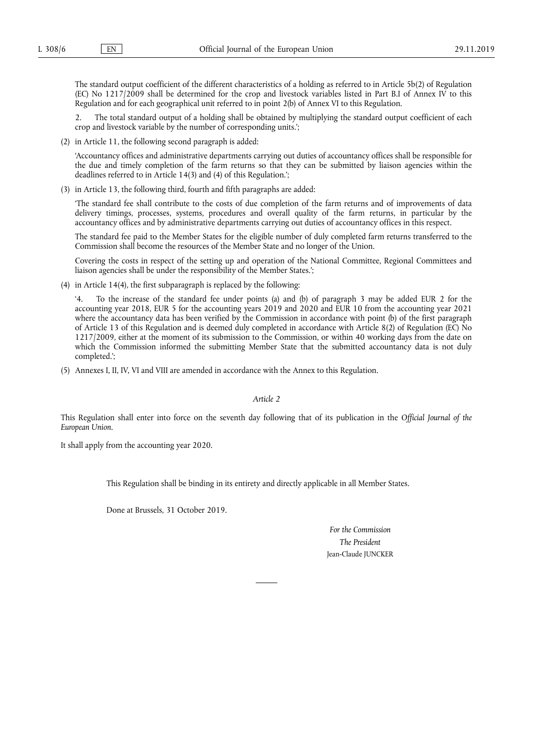The standard output coefficient of the different characteristics of a holding as referred to in Article 5b(2) of Regulation (EC) No 1217/2009 shall be determined for the crop and livestock variables listed in Part B.I of Annex IV to this Regulation and for each geographical unit referred to in point 2(b) of Annex VI to this Regulation.

2. The total standard output of a holding shall be obtained by multiplying the standard output coefficient of each crop and livestock variable by the number of corresponding units.';

(2) in Article 11, the following second paragraph is added:

'Accountancy offices and administrative departments carrying out duties of accountancy offices shall be responsible for the due and timely completion of the farm returns so that they can be submitted by liaison agencies within the deadlines referred to in Article 14(3) and (4) of this Regulation.';

(3) in Article 13, the following third, fourth and fifth paragraphs are added:

'The standard fee shall contribute to the costs of due completion of the farm returns and of improvements of data delivery timings, processes, systems, procedures and overall quality of the farm returns, in particular by the accountancy offices and by administrative departments carrying out duties of accountancy offices in this respect.

The standard fee paid to the Member States for the eligible number of duly completed farm returns transferred to the Commission shall become the resources of the Member State and no longer of the Union.

Covering the costs in respect of the setting up and operation of the National Committee, Regional Committees and liaison agencies shall be under the responsibility of the Member States.';

(4) in Article 14(4), the first subparagraph is replaced by the following:

'4. To the increase of the standard fee under points (a) and (b) of paragraph 3 may be added EUR 2 for the accounting year 2018, EUR 5 for the accounting years 2019 and 2020 and EUR 10 from the accounting year 2021 where the accountancy data has been verified by the Commission in accordance with point (b) of the first paragraph of Article 13 of this Regulation and is deemed duly completed in accordance with Article 8(2) of Regulation (EC) No 1217/2009, either at the moment of its submission to the Commission, or within 40 working days from the date on which the Commission informed the submitting Member State that the submitted accountancy data is not duly completed.';

(5) Annexes I, II, IV, VI and VIII are amended in accordance with the Annex to this Regulation.

*Article 2* 

This Regulation shall enter into force on the seventh day following that of its publication in the *Official Journal of the European Union*.

It shall apply from the accounting year 2020.

This Regulation shall be binding in its entirety and directly applicable in all Member States.

Done at Brussels, 31 October 2019.

*For the Commission The President*  Jean-Claude JUNCKER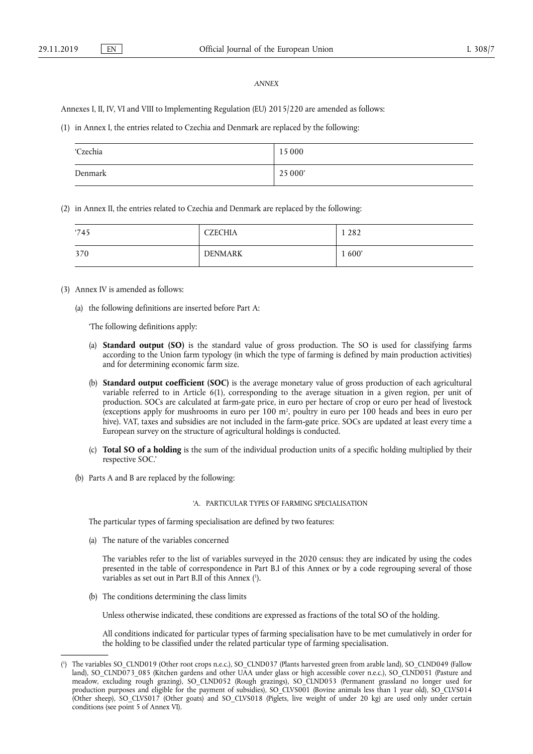#### *ANNEX*

Annexes I, II, IV, VI and VIII to Implementing Regulation (EU) 2015/220 are amended as follows:

(1) in Annex I, the entries related to Czechia and Denmark are replaced by the following:

| 'Czechia | 15 000  |
|----------|---------|
| Denmark  | 25 000' |

(2) in Annex II, the entries related to Czechia and Denmark are replaced by the following:

| '745 | <b>CZECHIA</b> | 282    |
|------|----------------|--------|
| 370  | <b>DENMARK</b> | 1 600' |

- (3) Annex IV is amended as follows:
	- (a) the following definitions are inserted before Part A:

'The following definitions apply:

- (a) **Standard output (SO)** is the standard value of gross production. The SO is used for classifying farms according to the Union farm typology (in which the type of farming is defined by main production activities) and for determining economic farm size.
- (b) **Standard output coefficient (SOC)** is the average monetary value of gross production of each agricultural variable referred to in Article 6(1), corresponding to the average situation in a given region, per unit of production. SOCs are calculated at farm-gate price, in euro per hectare of crop or euro per head of livestock (exceptions apply for mushrooms in euro per 100 m2 , poultry in euro per 100 heads and bees in euro per hive). VAT, taxes and subsidies are not included in the farm-gate price. SOCs are updated at least every time a European survey on the structure of agricultural holdings is conducted.
- (c) **Total SO of a holding** is the sum of the individual production units of a specific holding multiplied by their respective SOC.'
- (b) Parts A and B are replaced by the following:

### 'A. PARTICULAR TYPES OF FARMING SPECIALISATION

The particular types of farming specialisation are defined by two features:

(a) The nature of the variables concerned

The variables refer to the list of variables surveyed in the 2020 census: they are indicated by using the codes presented in the table of correspondence in Part B.I of this Annex or by a code regrouping several of those variables as set out in Part B.II of this Annex ( 1 ).

(b) The conditions determining the class limits

Unless otherwise indicated, these conditions are expressed as fractions of the total SO of the holding.

All conditions indicated for particular types of farming specialisation have to be met cumulatively in order for the holding to be classified under the related particular type of farming specialisation.

<sup>(</sup> 1 ) The variables SO\_CLND019 (Other root crops n.e.c.), SO\_CLND037 (Plants harvested green from arable land), SO\_CLND049 (Fallow land), SO\_CLND073\_085 (Kitchen gardens and other UAA under glass or high accessible cover n.e.c.), SO\_CLND051 (Pasture and meadow, excluding rough grazing), SO\_CLND052 (Rough grazings), SO\_CLND053 (Permanent grassland no longer used for production purposes and eligible for the payment of subsidies), SO\_CLVS001 (Bovine animals less than 1 year old), SO\_CLVS014 (Other sheep), SO\_CLVS017 (Other goats) and SO\_CLVS018 (Piglets, live weight of under 20 kg) are used only under certain conditions (see point 5 of Annex VI).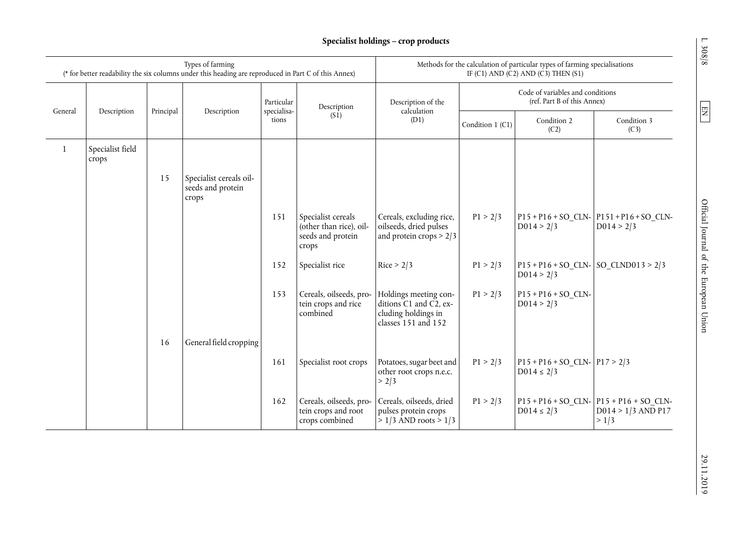# **Specialist holdings – crop products**

|              |                           |           | Types of farming<br>(* for better readability the six columns under this heading are reproduced in Part C of this Annex) |                           |                                                                             | Methods for the calculation of particular types of farming specialisations<br>IF (C1) AND (C2) AND (C3) THEN (S1) |                                                                 |                                                      |                                                                              |  |
|--------------|---------------------------|-----------|--------------------------------------------------------------------------------------------------------------------------|---------------------------|-----------------------------------------------------------------------------|-------------------------------------------------------------------------------------------------------------------|-----------------------------------------------------------------|------------------------------------------------------|------------------------------------------------------------------------------|--|
| General      | Description               |           |                                                                                                                          | Particular<br>specialisa- | Description                                                                 | Description of the<br>calculation                                                                                 | Code of variables and conditions<br>(ref. Part B of this Annex) |                                                      |                                                                              |  |
|              |                           | Principal | Description                                                                                                              | tions                     | (S <sub>1</sub> )                                                           | (D1)                                                                                                              | Condition 1 (C1)                                                | Condition 2<br>(C2)                                  | Condition 3<br>(C3)                                                          |  |
| $\mathbf{1}$ | Specialist field<br>crops |           |                                                                                                                          |                           |                                                                             |                                                                                                                   |                                                                 |                                                      |                                                                              |  |
|              |                           | 15        | Specialist cereals oil-<br>seeds and protein<br>crops                                                                    |                           |                                                                             |                                                                                                                   |                                                                 |                                                      |                                                                              |  |
|              |                           |           |                                                                                                                          | 151                       | Specialist cereals<br>(other than rice), oil-<br>seeds and protein<br>crops | Cereals, excluding rice,<br>oilseeds, dried pulses<br>and protein crops $> 2/3$                                   | P1 > 2/3                                                        | D014 > 2/3                                           | $P15 + P16 + SO_CLN P151 + P16 + SO_CLN-$<br>D014 > 2/3                      |  |
|              |                           |           |                                                                                                                          | 152                       | Specialist rice                                                             | Rice > 2/3                                                                                                        | P1 > 2/3                                                        | $P15 + P16 + SO$ CLN- SO CLND013 > 2/3<br>D014 > 2/3 |                                                                              |  |
|              |                           |           |                                                                                                                          | 153                       | Cereals, oilseeds, pro-<br>tein crops and rice<br>combined                  | Holdings meeting con-<br>ditions C1 and C2, ex-<br>cluding holdings in<br>classes 151 and 152                     | P1 > 2/3                                                        | $P15 + P16 + SO$ CLN-<br>D014 > 2/3                  |                                                                              |  |
|              |                           | 16        | General field cropping                                                                                                   |                           |                                                                             |                                                                                                                   |                                                                 |                                                      |                                                                              |  |
|              |                           |           |                                                                                                                          | 161                       | Specialist root crops                                                       | Potatoes, sugar beet and<br>other root crops n.e.c.<br>> 2/3                                                      | P1 > 2/3                                                        | $P15 + P16 + SO_CLN - P17 > 2/3$<br>$D014 \le 2/3$   |                                                                              |  |
|              |                           |           |                                                                                                                          | 162                       | Cereals, oilseeds, pro-<br>tein crops and root<br>crops combined            | Cereals, oilseeds, dried<br>pulses protein crops<br>$> 1/3$ AND roots $> 1/3$                                     | P1 > 2/3                                                        | $D014 \le 2/3$                                       | $P15 + P16 + SO_CLN - P15 + P16 + SO_CLN -$<br>$D014 > 1/3$ AND P17<br>> 1/3 |  |

 $L$  308/8  $\,$ 

 $\boxed{\text{EN}}$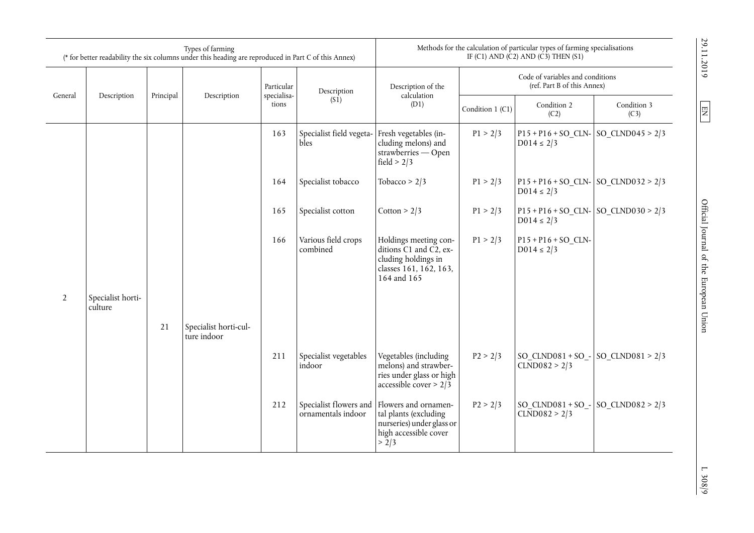|                |                              |           | Types of farming<br>(* for better readability the six columns under this heading are reproduced in Part C of this Annex) |                      |                                              | Methods for the calculation of particular types of farming specialisations<br>IF (C1) AND (C2) AND (C3) THEN (S1) |                                                                                                                 |                                                           |                                        |  |
|----------------|------------------------------|-----------|--------------------------------------------------------------------------------------------------------------------------|----------------------|----------------------------------------------|-------------------------------------------------------------------------------------------------------------------|-----------------------------------------------------------------------------------------------------------------|-----------------------------------------------------------|----------------------------------------|--|
|                |                              |           |                                                                                                                          | Particular           | Description                                  | Description of the                                                                                                | Code of variables and conditions<br>(ref. Part B of this Annex)                                                 |                                                           |                                        |  |
| General        | Description                  | Principal | Description                                                                                                              | specialisa-<br>tions | (S1)                                         | calculation<br>(D1)                                                                                               | Condition 1 (C1)                                                                                                | Condition 2<br>(C2)                                       | Condition 3<br>(C3)                    |  |
|                |                              |           |                                                                                                                          | 163                  | Specialist field vegeta-<br>bles             | Fresh vegetables (in-<br>cluding melons) and<br>strawberries - Open<br>field $> 2/3$                              | P1 > 2/3                                                                                                        | $P15 + P16 + SO$ CLN- SO CLND045 > 2/3<br>$D014 \le 2/3$  |                                        |  |
|                |                              |           |                                                                                                                          | 164                  | Specialist tobacco                           | Tobacco > $2/3$                                                                                                   | P1 > 2/3                                                                                                        | $P15 + P16 + SO$ CLN- SO CLND032 > 2/3<br>$D014 \le 2/3$  |                                        |  |
|                |                              |           |                                                                                                                          | 165                  | Specialist cotton                            | Cotton > $2/3$                                                                                                    | P1 > 2/3                                                                                                        | $P15 + P16 + SO_CLN - SO_CLND030 > 2/3$<br>$D014 \le 2/3$ |                                        |  |
|                |                              |           |                                                                                                                          |                      | 166                                          | Various field crops<br>combined                                                                                   | Holdings meeting con-<br>ditions C1 and C2, ex-<br>cluding holdings in<br>classes 161, 162, 163,<br>164 and 165 | P1 > 2/3                                                  | $P15 + P16 + SO_CLN$<br>$D014 \le 2/3$ |  |
| $\overline{2}$ | Specialist horti-<br>culture |           |                                                                                                                          |                      |                                              |                                                                                                                   |                                                                                                                 |                                                           |                                        |  |
|                |                              | 21        | Specialist horti-cul-<br>ture indoor                                                                                     |                      |                                              |                                                                                                                   |                                                                                                                 |                                                           |                                        |  |
|                |                              |           |                                                                                                                          | 211                  | Specialist vegetables<br>indoor              | Vegetables (including<br>melons) and strawber-<br>ries under glass or high<br>accessible cover > $2\overline{)3}$ | P2 > 2/3                                                                                                        | SO $CLND081 + SO -$<br>CLND082 > 2/3                      | SO $CLND081 > 2/3$                     |  |
|                |                              |           |                                                                                                                          | 212                  | Specialist flowers and<br>ornamentals indoor | Flowers and ornamen-<br>tal plants (excluding<br>nurseries) under glass or<br>high accessible cover<br>> 2/3      | P2 > 2/3                                                                                                        | SO $CLND081 + SO -$<br>CLND082 > 2/3                      | SO CLND082 > $2/3$                     |  |

 $\frac{1.308}{9}$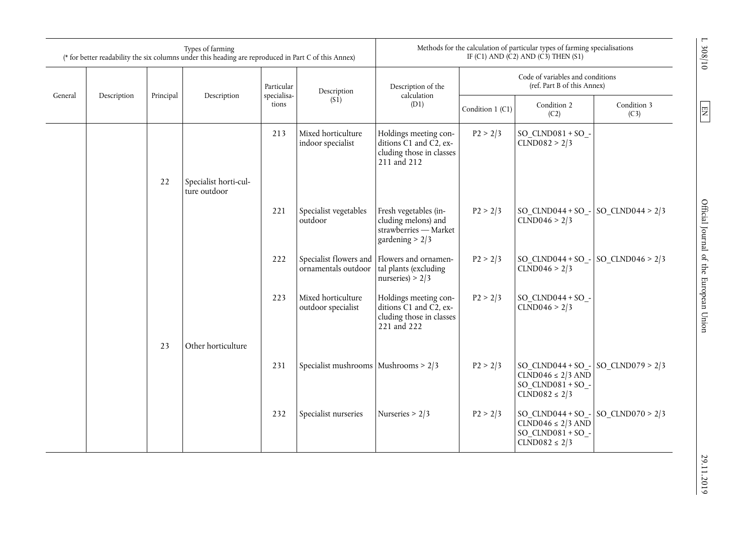|         |             |           | Types of farming<br>(* for better readability the six columns under this heading are reproduced in Part C of this Annex) |                      |                                          | Methods for the calculation of particular types of farming specialisations<br>IF (C1) AND (C2) AND (C3) THEN (S1) |                  |                                                                                            |                     |                                            |
|---------|-------------|-----------|--------------------------------------------------------------------------------------------------------------------------|----------------------|------------------------------------------|-------------------------------------------------------------------------------------------------------------------|------------------|--------------------------------------------------------------------------------------------|---------------------|--------------------------------------------|
|         |             |           |                                                                                                                          | Particular           | Description                              | Description of the                                                                                                |                  | Code of variables and conditions<br>(ref. Part B of this Annex)                            |                     |                                            |
| General | Description | Principal | Description                                                                                                              | specialisa-<br>tions | (S <sub>1</sub> )                        | calculation<br>(D1)                                                                                               | Condition 1 (C1) |                                                                                            | Condition 3<br>(C3) | $\boxed{\phantom{000} \text{N} \text{H} }$ |
|         |             |           |                                                                                                                          | 213                  | Mixed horticulture<br>indoor specialist  | Holdings meeting con-<br>ditions C1 and C2, ex-<br>cluding those in classes<br>211 and 212                        | P2 > 2/3         | $SO$ _CLND081 + SO_-<br>CLND082 > 2/3                                                      |                     |                                            |
|         |             | 22        | Specialist horti-cul-<br>ture outdoor                                                                                    |                      |                                          |                                                                                                                   |                  |                                                                                            |                     |                                            |
|         |             |           |                                                                                                                          | 221                  | Specialist vegetables<br>outdoor         | Fresh vegetables (in-<br>cluding melons) and<br>strawberries - Market<br>gardening $> 2/3$                        | P2 > 2/3         | $SO_{C}C NDO44 + SO_{-} SO_{C}C NDO44 > 2/3$<br>CLND046 > 2/3                              |                     | Official Journal of the European Union     |
|         |             |           |                                                                                                                          | 222                  | ornamentals outdoor                      | Specialist flowers and Flowers and ornamen-<br>tal plants (excluding<br>nurseries) > $2/3$                        | P2 > 2/3         | SO $CLND044 + SO -$<br>CLND046 > 2/3                                                       | SO CLND046 > $2/3$  |                                            |
|         |             |           |                                                                                                                          | 223                  | Mixed horticulture<br>outdoor specialist | Holdings meeting con-<br>ditions $C1$ and $C2$ , ex-<br>cluding those in classes<br>221 and 222                   | P2 > 2/3         | $SO$ _CLND044 + SO_-<br>CLND046 > 2/3                                                      |                     |                                            |
|         |             | 23        | Other horticulture                                                                                                       |                      |                                          |                                                                                                                   |                  |                                                                                            |                     |                                            |
|         |             |           |                                                                                                                          | 231                  | Specialist mushrooms   Mushrooms > 2/3   |                                                                                                                   | P2 > 2/3         | SO $CLND044 + SO$<br>$CLND046 \leq 2/3$ AND<br>$SO$ _CLND081 + SO_-<br>$CLND082 \leq 2/3$  | SO_CLND079 > $2/3$  |                                            |
|         |             |           |                                                                                                                          | 232                  | Specialist nurseries                     | Nurseries $> 2/3$                                                                                                 | P2 > 2/3         | SO $CLND044 + SO -$<br>$CLND046 \leq 2/3$ AND<br>SO $CLND081 + SO$ -<br>$CLND082 \leq 2/3$ | SO CLND070 > $2/3$  |                                            |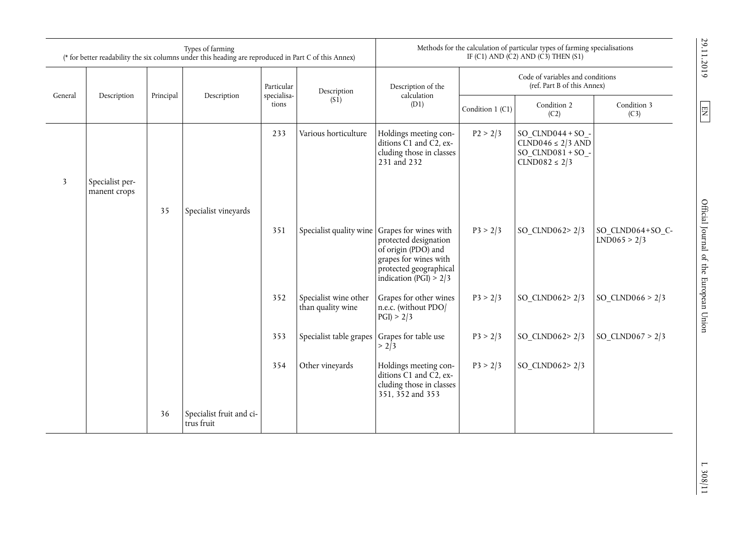|         |                                 |           | Types of farming<br>(* for better readability the six columns under this heading are reproduced in Part C of this Annex) |                      |                                            | Methods for the calculation of particular types of farming specialisations<br>IF (C1) AND (C2) AND (C3) THEN (S1)                                    |                                                                 |                                                                                              |                                  |
|---------|---------------------------------|-----------|--------------------------------------------------------------------------------------------------------------------------|----------------------|--------------------------------------------|------------------------------------------------------------------------------------------------------------------------------------------------------|-----------------------------------------------------------------|----------------------------------------------------------------------------------------------|----------------------------------|
|         |                                 |           |                                                                                                                          | Particular           | Description                                | Description of the<br>calculation                                                                                                                    | Code of variables and conditions<br>(ref. Part B of this Annex) |                                                                                              |                                  |
| General | Description                     | Principal | Description                                                                                                              | specialisa-<br>tions | (S1)                                       | (D1)                                                                                                                                                 | Condition 1 (C1)                                                | Condition 2<br>(C2)                                                                          | Condition 3<br>(C3)              |
|         |                                 |           |                                                                                                                          | 233                  | Various horticulture                       | Holdings meeting con-<br>ditions C1 and C2, ex-<br>cluding those in classes<br>231 and 232                                                           | P2 > 2/3                                                        | $SO$ _CLND044 + SO_-<br>$CLND046 \leq 2/3$ AND<br>$SO$ _CLND081 + SO_-<br>$CLND082 \leq 2/3$ |                                  |
| 3       | Specialist per-<br>manent crops |           |                                                                                                                          |                      |                                            |                                                                                                                                                      |                                                                 |                                                                                              |                                  |
|         |                                 | 35        | Specialist vineyards                                                                                                     |                      |                                            |                                                                                                                                                      |                                                                 |                                                                                              |                                  |
|         |                                 |           |                                                                                                                          | 351                  | Specialist quality wine                    | Grapes for wines with<br>protected designation<br>of origin (PDO) and<br>grapes for wines with<br>protected geographical<br>indication (PGI) $> 2/3$ | P3 > 2/3                                                        | SO_CLND062>2/3                                                                               | SO_CLND064+SO_C-<br>LND065 > 2/3 |
|         |                                 |           |                                                                                                                          | 352                  | Specialist wine other<br>than quality wine | Grapes for other wines<br>n.e.c. (without PDO/<br>PGI > 2/3                                                                                          | P3 > 2/3                                                        | SO_CLND062>2/3                                                                               | SO_CLND066 > $2/3$               |
|         |                                 |           |                                                                                                                          | 353                  | Specialist table grapes                    | Grapes for table use<br>$> 2\bar{1}3$                                                                                                                | P3 > 2/3                                                        | SO CLND062> $2/3$                                                                            | SO CLND067 > $2/3$               |
|         |                                 |           |                                                                                                                          | 354                  | Other vineyards                            | Holdings meeting con-<br>ditions C1 and C2, ex-<br>cluding those in classes<br>351, 352 and 353                                                      | P3 > 2/3                                                        | SO_CLND062>2/3                                                                               |                                  |
|         |                                 | 36        | Specialist fruit and ci-<br>trus fruit                                                                                   |                      |                                            |                                                                                                                                                      |                                                                 |                                                                                              |                                  |

29.11.2019

 $\frac{1.308}{11}$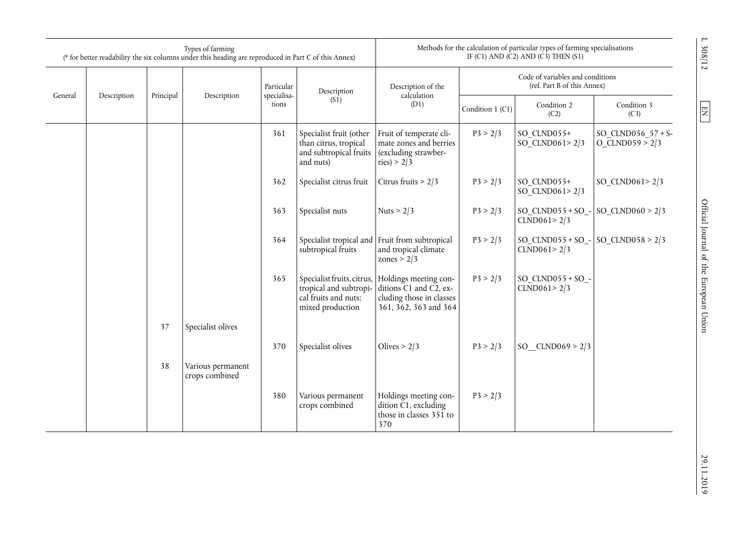|         |             |           | Types of farming<br>(* for better readability the six columns under this heading are reproduced in Part C of this Annex) |                           |                                                                                         |                                                                                                                                 |                                                                 | Methods for the calculation of particular types of farming specialisations<br>IF (C1) AND (C2) AND (C3) THEN (S1) |                                           | L 308/12                               |
|---------|-------------|-----------|--------------------------------------------------------------------------------------------------------------------------|---------------------------|-----------------------------------------------------------------------------------------|---------------------------------------------------------------------------------------------------------------------------------|-----------------------------------------------------------------|-------------------------------------------------------------------------------------------------------------------|-------------------------------------------|----------------------------------------|
| General | Description | Principal |                                                                                                                          | Particular<br>specialisa- | Description of the<br>Description                                                       |                                                                                                                                 | Code of variables and conditions<br>(ref. Part B of this Annex) |                                                                                                                   |                                           |                                        |
|         |             |           | Description                                                                                                              | tions                     | (S1)                                                                                    | calculation<br>(D1)<br>Condition 1 (C1)                                                                                         |                                                                 | Condition 2<br>(C2)                                                                                               | Condition 3<br>(C3)                       | EN                                     |
|         |             |           |                                                                                                                          | 361                       | Specialist fruit (other<br>than citrus, tropical<br>and subtropical fruits<br>and nuts) | Fruit of temperate cli-<br>mate zones and berries<br>(excluding strawber-<br>ries) > $2/3$                                      | P3 > 2/3                                                        | SO CLND055+<br>SO_CLND061>2/3                                                                                     | SO_CLND056_57 + S-<br>$O_{CLND059} > 2/3$ |                                        |
|         |             |           |                                                                                                                          | 362                       | Specialist citrus fruit                                                                 | Citrus fruits $> 2/3$                                                                                                           | P3 > 2/3                                                        | SO CLND055+<br>SO CLND061> $2/3$                                                                                  | SO CLND061> $2/3$                         |                                        |
|         |             |           |                                                                                                                          | 363                       | Specialist nuts                                                                         | Nuts > $2/3$                                                                                                                    | P3 > 2/3                                                        | $SO$ _CLND055 + SO_-<br>CLND061 > 2/3                                                                             | SO CLND060 > $2/3$                        |                                        |
|         |             |           |                                                                                                                          | 364                       | subtropical fruits                                                                      | Specialist tropical and Fruit from subtropical<br>and tropical climate<br>zones > $2/3$                                         | P3 > 2/3                                                        | $SO$ _CLND055 + SO_-<br>CLND061 > 2/3                                                                             | SO CLND058 > $2/3$                        |                                        |
|         |             |           |                                                                                                                          | 365                       | tropical and subtropi-<br>cal fruits and nuts:<br>mixed production                      | Specialist fruits, citrus, Holdings meeting con-<br>ditions C1 and C2, ex-<br>cluding those in classes<br>361, 362, 363 and 364 | P3 > 2/3                                                        | $SO$ _CLND055 + SO_-<br>CLND061 > 2/3                                                                             |                                           | Official Journal of the European Union |
|         |             | 37        | Specialist olives                                                                                                        |                           |                                                                                         |                                                                                                                                 |                                                                 |                                                                                                                   |                                           |                                        |
|         |             |           |                                                                                                                          | 370                       | Specialist olives                                                                       | Olives $> 2/3$                                                                                                                  | P3 > 2/3                                                        | SO $CLND069 > 2/3$                                                                                                |                                           |                                        |
|         |             | 38        | Various permanent<br>crops combined                                                                                      |                           |                                                                                         |                                                                                                                                 |                                                                 |                                                                                                                   |                                           |                                        |
|         |             |           |                                                                                                                          | 380                       | Various permanent<br>crops combined                                                     | Holdings meeting con-<br>dition C1, excluding<br>those in classes 351 to<br>370                                                 | P3 > 2/3                                                        |                                                                                                                   |                                           |                                        |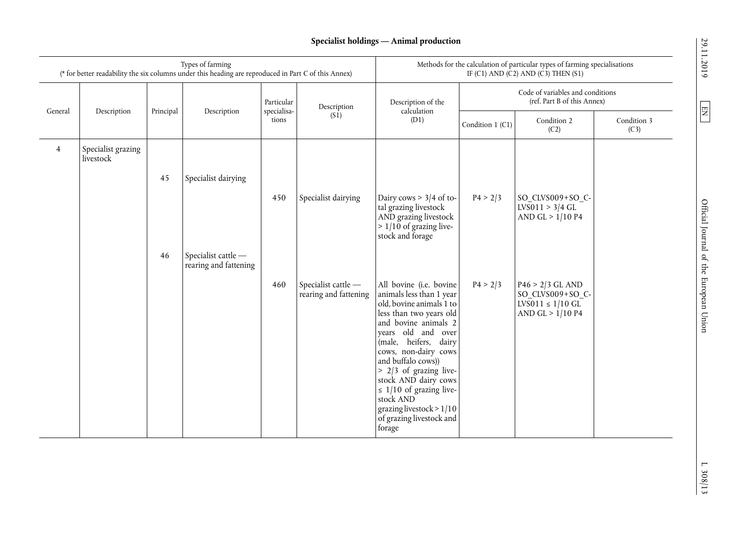# **Specialist holdings — Animal production**

|                |                                 |           | Types of farming<br>(* for better readability the six columns under this heading are reproduced in Part C of this Annex) |                           |                                              | Methods for the calculation of particular types of farming specialisations<br>IF (C1) AND (C2) AND (C3) THEN (S1)                                                                                                                                                                                                                                                                                |                                                                 |                                                                                                         |                     |  |
|----------------|---------------------------------|-----------|--------------------------------------------------------------------------------------------------------------------------|---------------------------|----------------------------------------------|--------------------------------------------------------------------------------------------------------------------------------------------------------------------------------------------------------------------------------------------------------------------------------------------------------------------------------------------------------------------------------------------------|-----------------------------------------------------------------|---------------------------------------------------------------------------------------------------------|---------------------|--|
| General        | Description                     | Principal | Description                                                                                                              | Particular<br>specialisa- | Description                                  | Description of the<br>calculation                                                                                                                                                                                                                                                                                                                                                                | Code of variables and conditions<br>(ref. Part B of this Annex) |                                                                                                         |                     |  |
|                |                                 |           |                                                                                                                          | tions                     | (S1)                                         | (D1)                                                                                                                                                                                                                                                                                                                                                                                             | Condition 1 (C1)                                                | Condition 2<br>(C2)                                                                                     | Condition 3<br>(C3) |  |
| $\overline{4}$ | Specialist grazing<br>livestock |           |                                                                                                                          |                           |                                              |                                                                                                                                                                                                                                                                                                                                                                                                  |                                                                 |                                                                                                         |                     |  |
|                |                                 | 45        | Specialist dairying                                                                                                      |                           |                                              |                                                                                                                                                                                                                                                                                                                                                                                                  |                                                                 |                                                                                                         |                     |  |
|                |                                 |           |                                                                                                                          | 450                       | Specialist dairying                          | Dairy cows $> 3/4$ of to-<br>tal grazing livestock<br>AND grazing livestock<br>$> 1/10$ of grazing live-<br>stock and forage                                                                                                                                                                                                                                                                     | P4 > 2/3                                                        | SO CLVS009+SO C-<br>LVS011 > 3/4 GL<br>AND GL $> 1/10$ P4                                               |                     |  |
|                |                                 | 46        | Specialist cattle -<br>rearing and fattening                                                                             |                           |                                              |                                                                                                                                                                                                                                                                                                                                                                                                  |                                                                 |                                                                                                         |                     |  |
|                |                                 |           |                                                                                                                          | 460                       | Specialist cattle -<br>rearing and fattening | All bovine (i.e. bovine<br>animals less than 1 year<br>old, bovine animals 1 to<br>less than two years old<br>and bovine animals 2<br>years old and over<br>(male, heifers, dairy<br>cows, non-dairy cows<br>and buffalo cows))<br>> 2/3 of grazing live-<br>stock AND dairy cows<br>$\leq$ 1/10 of grazing live-<br>stock AND<br>grazing livestock > 1/10<br>of grazing livestock and<br>forage | P4 > 2/3                                                        | $P46 > 2/3$ GL AND<br>SO CLVS009+SO C-<br>$LV\overline{S011} \le 1/10 \text{ GL}$<br>AND GL $> 1/10$ P4 |                     |  |

29.11.2019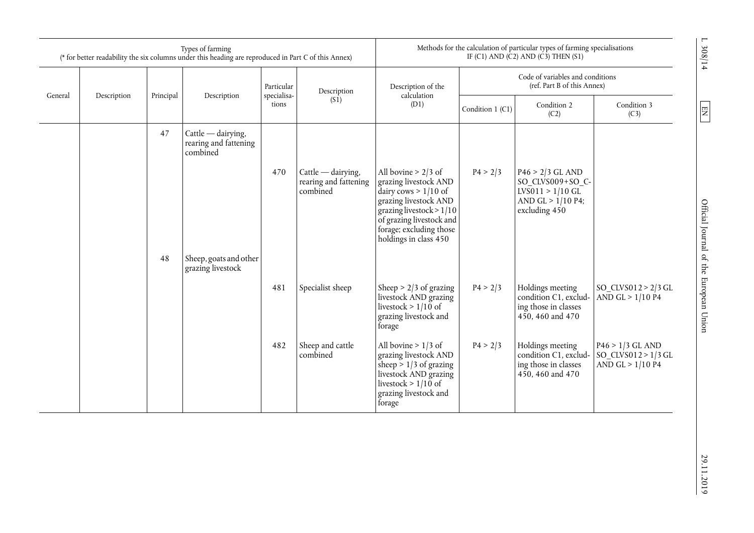|         |             |           | Types of farming<br>(* for better readability the six columns under this heading are reproduced in Part C of this Annex) |                      |                                                           | Methods for the calculation of particular types of farming specialisations<br>IF (C1) AND (C2) AND (C3) THEN (S1)                                                                                               |                                                                 |                                                                                                      |                                                                 |
|---------|-------------|-----------|--------------------------------------------------------------------------------------------------------------------------|----------------------|-----------------------------------------------------------|-----------------------------------------------------------------------------------------------------------------------------------------------------------------------------------------------------------------|-----------------------------------------------------------------|------------------------------------------------------------------------------------------------------|-----------------------------------------------------------------|
|         |             |           |                                                                                                                          | Particular           | Description                                               | Description of the                                                                                                                                                                                              | Code of variables and conditions<br>(ref. Part B of this Annex) |                                                                                                      |                                                                 |
| General | Description | Principal | Description                                                                                                              | specialisa-<br>tions | (S1)                                                      | calculation<br>(D1)                                                                                                                                                                                             | Condition 1 (C1)                                                | Condition 2<br>(C2)                                                                                  | Condition 3<br>(C3)                                             |
|         |             | 47        | $Cattle$ - dairying,<br>rearing and fattening<br>combined                                                                |                      |                                                           |                                                                                                                                                                                                                 |                                                                 |                                                                                                      |                                                                 |
|         |             |           |                                                                                                                          | 470                  | $Cattle - dairying,$<br>rearing and fattening<br>combined | All bovine $> 2/3$ of<br>grazing livestock AND<br>dairy cows $> 1/10$ of<br>grazing livestock AND<br>grazing livestock > $1/10$<br>of grazing livestock and<br>forage; excluding those<br>holdings in class 450 | P4 > 2/3                                                        | $P46 > 2/3$ GL AND<br>SO_CLVS009+SO_C-<br>$LVS011 > 1/10$ GL<br>AND GL $> 1/10$ P4;<br>excluding 450 |                                                                 |
|         |             | 48        | Sheep, goats and other<br>grazing livestock                                                                              |                      |                                                           |                                                                                                                                                                                                                 |                                                                 |                                                                                                      |                                                                 |
|         |             |           |                                                                                                                          | 481                  | Specialist sheep                                          | Sheep > $2/3$ of grazing<br>livestock AND grazing<br>livestock > $1/10$ of<br>grazing livestock and<br>forage                                                                                                   | P4 > 2/3                                                        | Holdings meeting<br>condition C1, exclud-<br>ing those in classes<br>450, 460 and 470                | SO CLVS012 > $2/3$ GL<br>AND GL $> 1/10$ P4                     |
|         |             |           |                                                                                                                          | 482                  | Sheep and cattle<br>combined                              | All bovine $> 1/3$ of<br>grazing livestock AND<br>sheep $> 1/3$ of grazing<br>livestock AND grazing<br>livestock > $1/10$ of<br>grazing livestock and<br>forage                                                 | P4 > 2/3                                                        | Holdings meeting<br>condition C1, exclud-<br>ing those in classes<br>450, 460 and 470                | $P46 > 1/3$ GL AND<br>SO CLVS012 > $1/3$ GL<br>AND GL > 1/10 P4 |

 $\boxed{\text{N} }$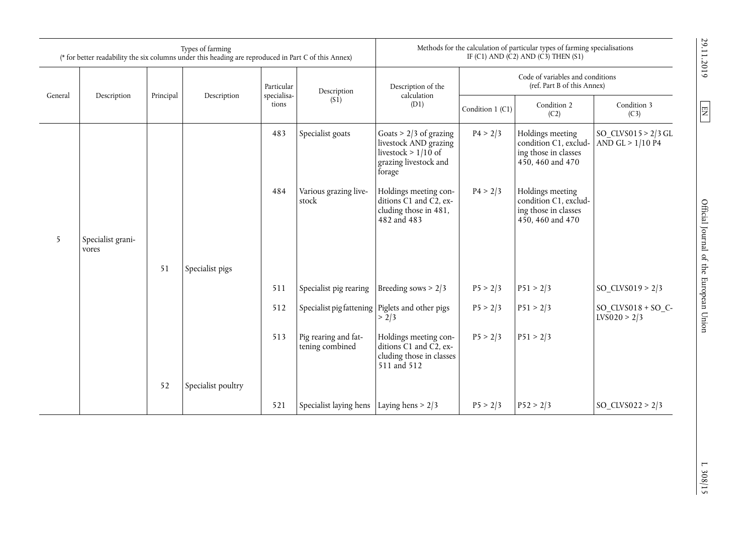|         |                            |           | Types of farming<br>(* for better readability the six columns under this heading are reproduced in Part C of this Annex) |                           |                                                 | Methods for the calculation of particular types of farming specialisations<br>IF (C1) AND (C2) AND (C3) THEN (S1) |                                                                 |                                                                                       |                                           | 29.11.2019                             |
|---------|----------------------------|-----------|--------------------------------------------------------------------------------------------------------------------------|---------------------------|-------------------------------------------------|-------------------------------------------------------------------------------------------------------------------|-----------------------------------------------------------------|---------------------------------------------------------------------------------------|-------------------------------------------|----------------------------------------|
| General | Description                | Principal | Description                                                                                                              | Particular<br>specialisa- | Description                                     | Description of the<br>calculation                                                                                 | Code of variables and conditions<br>(ref. Part B of this Annex) |                                                                                       |                                           |                                        |
|         |                            |           |                                                                                                                          | tions                     | (S1)                                            | (D1)                                                                                                              | Condition 1 (C1)                                                | Condition 2<br>(C2)                                                                   | Condition 3<br>(C3)                       | $\boxed{\text{E}}$                     |
|         |                            |           |                                                                                                                          | 483                       | Specialist goats                                | Goats $> 2/3$ of grazing<br>livestock AND grazing<br>livestock > $1/10$ of<br>grazing livestock and<br>forage     | P4 > 2/3                                                        | Holdings meeting<br>condition C1, exclud-<br>ing those in classes<br>450, 460 and 470 | SO $CLVS015 > 2/3$ GL<br>AND GL > 1/10 P4 |                                        |
|         |                            |           |                                                                                                                          | 484                       | Various grazing live-<br>stock                  | Holdings meeting con-<br>ditions C1 and C2, ex-<br>cluding those in 481,<br>482 and 483                           | P4 > 2/3                                                        | Holdings meeting<br>condition C1, exclud-<br>ing those in classes<br>450, 460 and 470 |                                           | Official Journal of the European Union |
| 5       | Specialist grani-<br>vores |           |                                                                                                                          |                           |                                                 |                                                                                                                   |                                                                 |                                                                                       |                                           |                                        |
|         |                            | 51        | Specialist pigs                                                                                                          |                           |                                                 |                                                                                                                   |                                                                 |                                                                                       |                                           |                                        |
|         |                            |           |                                                                                                                          | 511                       | Specialist pig rearing                          | Breeding sows $> 2/3$                                                                                             | P5 > 2/3                                                        | P51 > 2/3                                                                             | SO CLVS019 > $2/3$                        |                                        |
|         |                            |           |                                                                                                                          | 512                       | Specialist pig fattening Piglets and other pigs | > 2/3                                                                                                             | P5 > 2/3                                                        | P51 > 2/3                                                                             | SO $CLVS018 + SO$ C-<br>LVS020 > 2/3      |                                        |
|         |                            |           |                                                                                                                          | 513                       | Pig rearing and fat-<br>tening combined         | Holdings meeting con-<br>ditions C1 and C2, ex-<br>cluding those in classes<br>511 and 512                        | P5 > 2/3                                                        | P51 > 2/3                                                                             |                                           |                                        |
|         |                            | 52        | Specialist poultry                                                                                                       |                           |                                                 |                                                                                                                   |                                                                 |                                                                                       |                                           |                                        |
|         |                            |           |                                                                                                                          | 521                       | Specialist laying hens   Laying hens $> 2/3$    |                                                                                                                   | P5 > 2/3                                                        | P52 > 2/3                                                                             | SO_CLVS022 > 2/3                          |                                        |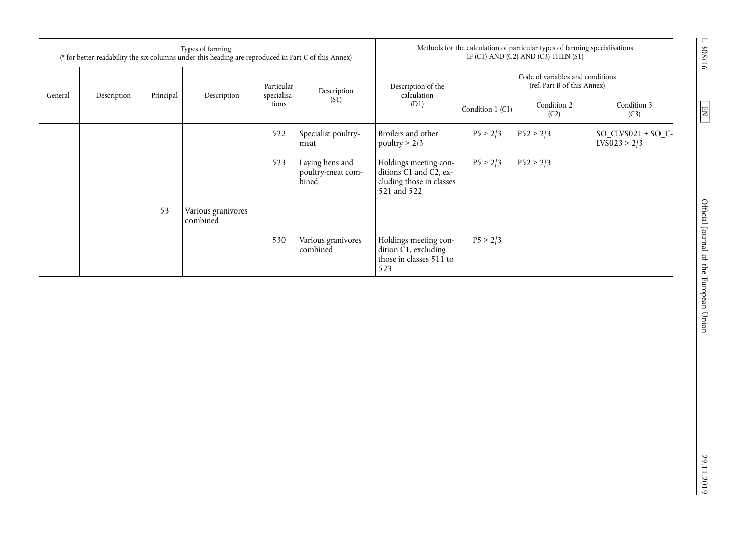|         | Types of farming<br>(* for better readability the six columns under this heading are reproduced in Part C of this Annex) |           |                                |                      |                                               |                                                                                            | Methods for the calculation of particular types of farming specialisations<br>IF $(C1)$ AND $(C2)$ AND $(C3)$ THEN $(S1)$ |                     |                                       |  |
|---------|--------------------------------------------------------------------------------------------------------------------------|-----------|--------------------------------|----------------------|-----------------------------------------------|--------------------------------------------------------------------------------------------|---------------------------------------------------------------------------------------------------------------------------|---------------------|---------------------------------------|--|
|         |                                                                                                                          |           |                                | Particular           | Description<br>(S1)                           | Description of the<br>calculation<br>(D1)                                                  | Code of variables and conditions<br>(ref. Part B of this Annex)                                                           |                     |                                       |  |
| General | Description                                                                                                              | Principal | Description                    | specialisa-<br>tions |                                               |                                                                                            | Condition $1$ (C1)                                                                                                        | Condition 2<br>(C2) | Condition 3<br>(C3)                   |  |
|         |                                                                                                                          |           |                                | 522                  | Specialist poultry-<br>meat                   | Broilers and other<br>poultry $> 2/3$                                                      | P5 > 2/3                                                                                                                  | P52 > 2/3           | $SO$ _CLVS021 + SO_C-<br>LVS023 > 2/3 |  |
|         |                                                                                                                          |           |                                | 523                  | Laying hens and<br>poultry-meat com-<br>bined | Holdings meeting con-<br>ditions C1 and C2, ex-<br>cluding those in classes<br>521 and 522 | P5 > 2/3                                                                                                                  | P52 > 2/3           |                                       |  |
|         |                                                                                                                          | 53        | Various granivores<br>combined |                      |                                               |                                                                                            |                                                                                                                           |                     |                                       |  |
|         |                                                                                                                          |           |                                | 530                  | Various granivores<br>combined                | Holdings meeting con-<br>dition C1, excluding<br>those in classes 511 to<br>523            | P5 > 2/3                                                                                                                  |                     |                                       |  |

L 308/16

 $\boxed{\text{N} }$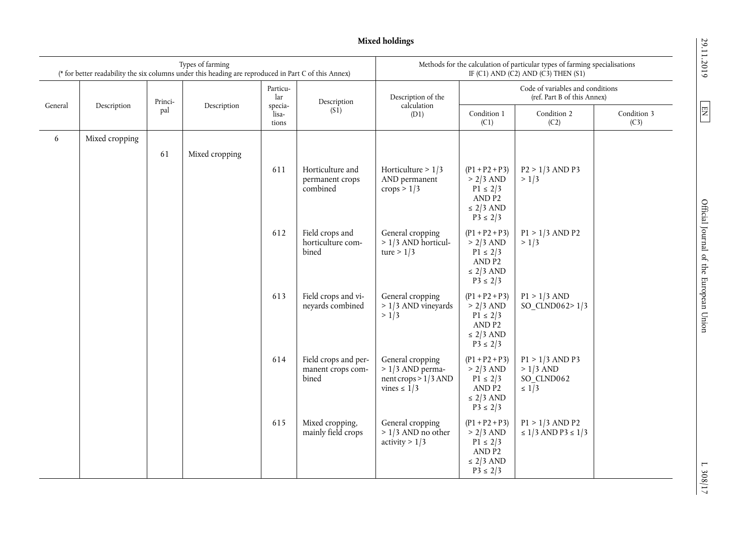29.11.2019

 $\boxed{\text{N} }$ 

 $\frac{1.308}{1.7}$ 

**Mixed holdings** 

|         |                |         | Types of farming<br>(* for better readability the six columns under this heading are reproduced in Part C of this Annex) |                           |                                                    | Methods for the calculation of particular types of farming specialisations<br>IF (C1) AND (C2) AND (C3) THEN (S1) |                                                                                                        |                                                                 |                     |
|---------|----------------|---------|--------------------------------------------------------------------------------------------------------------------------|---------------------------|----------------------------------------------------|-------------------------------------------------------------------------------------------------------------------|--------------------------------------------------------------------------------------------------------|-----------------------------------------------------------------|---------------------|
| General |                | Princi- |                                                                                                                          | Particu-<br>lar           | Description                                        | Description of the<br>calculation                                                                                 |                                                                                                        | Code of variables and conditions<br>(ref. Part B of this Annex) |                     |
|         | Description    | pal     | Description                                                                                                              | specia-<br>lisa-<br>tions | (S <sub>1</sub> )                                  | (D1)                                                                                                              | Condition 1<br>(C1)                                                                                    | Condition 2<br>(C2)                                             | Condition 3<br>(C3) |
| 6       | Mixed cropping |         |                                                                                                                          |                           |                                                    |                                                                                                                   |                                                                                                        |                                                                 |                     |
|         |                | 61      | Mixed cropping                                                                                                           |                           |                                                    |                                                                                                                   |                                                                                                        |                                                                 |                     |
|         |                |         |                                                                                                                          | 611                       | Horticulture and<br>permanent crops<br>combined    | Horticulture $> 1/3$<br>AND permanent<br>crops $> 1/3$                                                            | $(P1 + P2 + P3)$<br>$> 2/3$ AND<br>$P1 \le 2/3$<br>AND P2<br>$\leq$ 2/3 AND<br>$P3 \le 2/3$            | $P2 > 1/3$ AND P3<br>> 1/3                                      |                     |
|         |                |         |                                                                                                                          | 612                       | Field crops and<br>horticulture com-<br>bined      | General cropping<br>$> 1/3$ AND horticul-<br>ture > $1/3$                                                         | $(P1 + P2 + P3)$<br>$> 2/3$ AND<br>$P1 \le 2/3$<br>AND <sub>P2</sub><br>$\leq$ 2/3 AND<br>$P3 \le 2/3$ | $P1 > 1/3$ AND P2<br>> 1/3                                      |                     |
|         |                |         |                                                                                                                          | 613                       | Field crops and vi-<br>neyards combined            | General cropping<br>$> 1/3$ AND vineyards<br>> 1/3                                                                | $(P1 + P2 + P3)$<br>$> 2/3$ AND<br>$P1 \le 2/3$<br>AND <sub>P2</sub><br>$\leq$ 2/3 AND<br>$P3 \le 2/3$ | $P1 > 1/3$ AND<br>SO CLND062> $1/3$                             |                     |
|         |                |         |                                                                                                                          | 614                       | Field crops and per-<br>manent crops com-<br>bined | General cropping<br>$> 1/3$ AND perma-<br>nent crops $> 1/3$ AND<br>vines $\leq 1/3$                              | $(P1 + P2 + P3)$<br>$> 2/3$ AND<br>$P1 \le 2/3$<br>AND <sub>P2</sub><br>$\leq$ 2/3 AND<br>$P3 \le 2/3$ | $P1 > 1/3$ AND P3<br>$>1/3$ AND<br>SO CLND062<br>$\leq 1/3$     |                     |
|         |                |         |                                                                                                                          | 615                       | Mixed cropping,<br>mainly field crops              | General cropping<br>$> 1/3$ AND no other<br>activity $> 1/3$                                                      | $(P1 + P2 + P3)$<br>$> 2/3$ AND<br>$P1 \le 2/3$<br>AND <sub>P2</sub><br>$\leq$ 2/3 AND<br>$P3 \le 2/3$ | $P1 > 1/3$ AND P2<br>≤ 1/3 AND P3 ≤ 1/3                         |                     |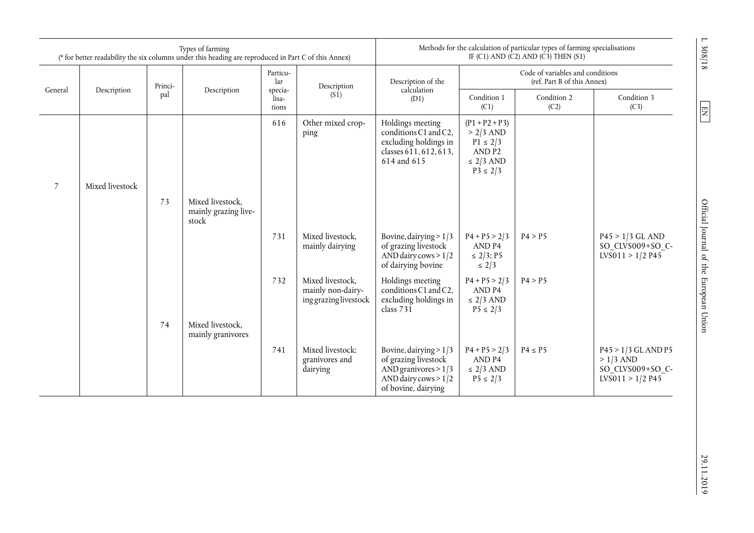| Types of farming<br>(* for better readability the six columns under this heading are reproduced in Part C of this Annex) |                 |         |                                                   | Methods for the calculation of particular types of farming specialisations<br>IF (C1) AND (C2) AND (C3) THEN (S1) |                                                                |                                                                                                                             |                                                                                             |                                                                 |                                                                               |  |
|--------------------------------------------------------------------------------------------------------------------------|-----------------|---------|---------------------------------------------------|-------------------------------------------------------------------------------------------------------------------|----------------------------------------------------------------|-----------------------------------------------------------------------------------------------------------------------------|---------------------------------------------------------------------------------------------|-----------------------------------------------------------------|-------------------------------------------------------------------------------|--|
|                                                                                                                          |                 | Princi- |                                                   | Particu-<br>lar                                                                                                   | Description                                                    | Description of the                                                                                                          |                                                                                             | Code of variables and conditions<br>(ref. Part B of this Annex) |                                                                               |  |
| General                                                                                                                  | Description     | pal     | Description                                       | specia-<br>lisa-<br>tions                                                                                         | (S1)                                                           | calculation<br>(D1)                                                                                                         | Condition 1<br>(C1)                                                                         | Condition 2<br>(C2)                                             | Condition 3<br>(C3)                                                           |  |
|                                                                                                                          |                 |         |                                                   | 616                                                                                                               | Other mixed crop-<br>ping                                      | Holdings meeting<br>conditions C1 and C2,<br>excluding holdings in<br>classes 611, 612, 613,<br>614 and 615                 | $(P1 + P2 + P3)$<br>$> 2/3$ AND<br>$P1 \le 2/3$<br>AND P2<br>$\leq$ 2/3 AND<br>$P3 \le 2/3$ |                                                                 |                                                                               |  |
| $\overline{7}$                                                                                                           | Mixed livestock |         |                                                   |                                                                                                                   |                                                                |                                                                                                                             |                                                                                             |                                                                 |                                                                               |  |
|                                                                                                                          |                 | 73      | Mixed livestock,<br>mainly grazing live-<br>stock |                                                                                                                   |                                                                |                                                                                                                             |                                                                                             |                                                                 |                                                                               |  |
|                                                                                                                          |                 |         |                                                   | 731                                                                                                               | Mixed livestock,<br>mainly dairying                            | Bovine, dairying $> 1/3$<br>of grazing livestock<br>AND dairy cows $>1/2$<br>of dairying bovine                             | $P4 + P5 > 2/3$<br>AND <sub>P4</sub><br>$\leq$ 2/3; P5<br>$\leq 2/3$                        | P4 > P5                                                         | $P45 > 1/3$ GL AND<br>SO_CLVS009+SO_C-<br>LVS011 > 1/2 P45                    |  |
|                                                                                                                          |                 |         |                                                   | 732                                                                                                               | Mixed livestock,<br>mainly non-dairy-<br>ing grazing livestock | Holdings meeting<br>conditions C1 and C2,<br>excluding holdings in<br>class $731$                                           | $P4 + P5 > 2/3$<br>AND <sub>P4</sub><br>$\leq$ 2/3 AND<br>$P5 \le 2/3$                      | P4 > P5                                                         |                                                                               |  |
|                                                                                                                          |                 | 74      | Mixed livestock,<br>mainly granivores             |                                                                                                                   |                                                                |                                                                                                                             |                                                                                             |                                                                 |                                                                               |  |
|                                                                                                                          |                 |         |                                                   | 741                                                                                                               | Mixed livestock:<br>granivores and<br>dairying                 | Bovine, dairying $> 1/3$<br>of grazing livestock<br>AND granivores $> 1/3$<br>AND dairy cows $> 1/2$<br>of bovine, dairying | $P4 + P5 > 2/3$<br>AND <sub>P4</sub><br>$\leq$ 2/3 AND<br>$P5 \le 2/3$                      | $P4 \leq P5$                                                    | $P45 > 1/3$ GL AND P5<br>$>1/3$ AND<br>SO CLVS009+SO C-<br>$LVS011 > 1/2$ P45 |  |

 $\boxed{\text{N} }$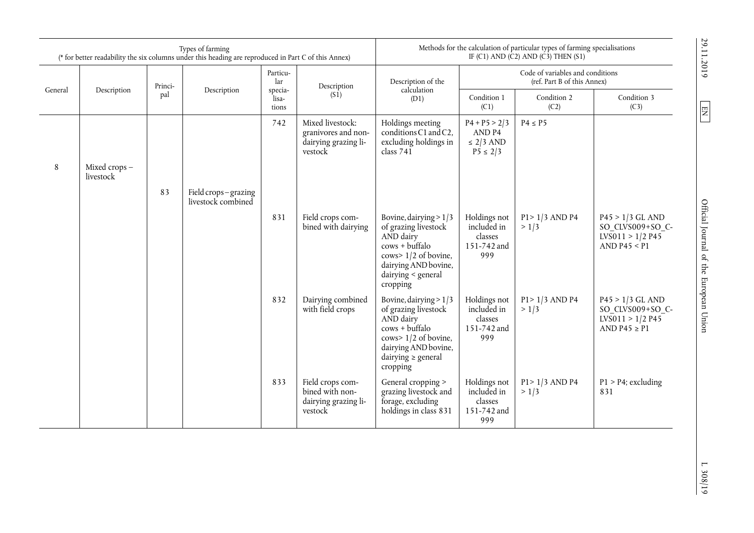| Types of farming<br>(* for better readability the six columns under this heading are reproduced in Part C of this Annex) |              |         |                                           | Methods for the calculation of particular types of farming specialisations<br>IF (C1) AND (C2) AND (C3) THEN (S1) |                                                                            |                                                                                                                                                                      |                                                                 |                            |                                                                                           |
|--------------------------------------------------------------------------------------------------------------------------|--------------|---------|-------------------------------------------|-------------------------------------------------------------------------------------------------------------------|----------------------------------------------------------------------------|----------------------------------------------------------------------------------------------------------------------------------------------------------------------|-----------------------------------------------------------------|----------------------------|-------------------------------------------------------------------------------------------|
|                                                                                                                          |              | Princi- |                                           | Particu-<br>lar                                                                                                   | Description                                                                | Description of the<br>calculation                                                                                                                                    | Code of variables and conditions<br>(ref. Part B of this Annex) |                            |                                                                                           |
| General                                                                                                                  | Description  | pal     | Description                               | specia-<br>lisa-<br>tions                                                                                         | (S1)                                                                       | (D1)                                                                                                                                                                 | Condition 1<br>(C1)                                             | Condition 2<br>(C2)        | Condition 3<br>(C3)                                                                       |
| 8                                                                                                                        | Mixed crops- |         |                                           | 742                                                                                                               | Mixed livestock:<br>granivores and non-<br>dairying grazing li-<br>vestock | Holdings meeting<br>conditions C1 and C2,<br>excluding holdings in<br>class $741$                                                                                    | $P4 + P5 > 2/3$<br>AND P4<br>$\leq$ 2/3 AND<br>$P5 \le 2/3$     | $P4 \leq P5$               |                                                                                           |
|                                                                                                                          | livestock    |         |                                           |                                                                                                                   |                                                                            |                                                                                                                                                                      |                                                                 |                            |                                                                                           |
|                                                                                                                          |              | 83      | Field crops-grazing<br>livestock combined |                                                                                                                   |                                                                            |                                                                                                                                                                      |                                                                 |                            |                                                                                           |
|                                                                                                                          |              |         |                                           | 831                                                                                                               | Field crops com-<br>bined with dairying                                    | Bovine, dairying $> 1/3$<br>of grazing livestock<br>AND dairy<br>$cows + buffer$<br>cows> 1/2 of bovine,<br>dairying AND bovine,<br>dairying < general<br>cropping   | Holdings not<br>included in<br>classes<br>151-742 and<br>999    | $P1 > 1/3$ AND P4<br>> 1/3 | $P45 > 1/3$ GL AND<br>SO_CLVS009+SO_C-<br>$LV\overline{S}011 > 1/2$ P45<br>AND P45 $<$ P1 |
|                                                                                                                          |              |         |                                           | 832                                                                                                               | Dairying combined<br>with field crops                                      | Bovine, dairying > 1/3<br>of grazing livestock<br>AND dairy<br>$cows + buffer$<br>cows> 1/2 of bovine,<br>dairying AND bovine,<br>dairying $\ge$ general<br>cropping | Holdings not<br>included in<br>classes<br>151-742 and<br>999    | $P1 > 1/3$ AND P4<br>> 1/3 | $P45 > 1/3$ GL AND<br>SO CLVS009+SO C-<br>$LVS011 > 1/2$ P45<br>AND P45 $\geq$ P1         |
|                                                                                                                          |              |         |                                           | 833                                                                                                               | Field crops com-<br>bined with non-<br>dairying grazing li-<br>vestock     | General cropping ><br>grazing livestock and<br>forage, excluding<br>holdings in class 831                                                                            | Holdings not<br>included in<br>classes<br>151-742 and<br>999    | $P1 > 1/3$ AND P4<br>> 1/3 | $P1 > P4$ ; excluding<br>831                                                              |

 $\boxed{\Xi}$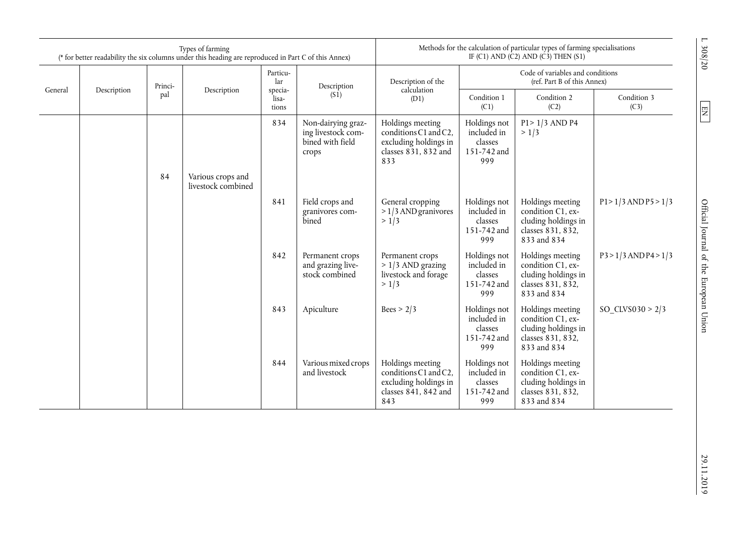|         | Types of farming<br>(* for better readability the six columns under this heading are reproduced in Part C of this Annex) |         |                                         |                           | Methods for the calculation of particular types of farming specialisations<br>IF (C1) AND (C2) AND (C3) THEN (S1) |                                                                                                    |                                                                 |                                                                                                  |                           |
|---------|--------------------------------------------------------------------------------------------------------------------------|---------|-----------------------------------------|---------------------------|-------------------------------------------------------------------------------------------------------------------|----------------------------------------------------------------------------------------------------|-----------------------------------------------------------------|--------------------------------------------------------------------------------------------------|---------------------------|
|         |                                                                                                                          | Princi- |                                         | Particu-<br>lar           | Description                                                                                                       | Description of the                                                                                 | Code of variables and conditions<br>(ref. Part B of this Annex) |                                                                                                  |                           |
| General | Description                                                                                                              | pal     | Description                             | specia-<br>lisa-<br>tions | (S1)                                                                                                              | calculation<br>(D1)                                                                                | Condition 1<br>(C1)                                             | Condition 2<br>(C2)                                                                              | Condition 3<br>(C3)       |
|         |                                                                                                                          |         |                                         | 834                       | Non-dairying graz-<br>ing livestock com-<br>bined with field<br>crops                                             | Holdings meeting<br>conditions C1 and C2,<br>excluding holdings in<br>classes 831, 832 and<br>833  | Holdings not<br>included in<br>classes<br>151-742 and<br>999    | P1> 1/3 AND P4<br>> 1/3                                                                          |                           |
|         |                                                                                                                          | 84      | Various crops and<br>livestock combined |                           |                                                                                                                   |                                                                                                    |                                                                 |                                                                                                  |                           |
|         |                                                                                                                          |         |                                         | 841                       | Field crops and<br>granivores com-<br>bined                                                                       | General cropping<br>$>1/3$ AND granivores<br>> 1/3                                                 | Holdings not<br>included in<br>classes<br>151-742 and<br>999    | Holdings meeting<br>condition C1, ex-<br>cluding holdings in<br>classes 831, 832,<br>833 and 834 | $P1 > 1/3$ AND $P5 > 1/3$ |
|         |                                                                                                                          |         |                                         | 842                       | Permanent crops<br>and grazing live-<br>stock combined                                                            | Permanent crops<br>$> 1/3$ AND grazing<br>livestock and forage<br>> 1/3                            | Holdings not<br>included in<br>classes<br>151-742 and<br>999    | Holdings meeting<br>condition C1, ex-<br>cluding holdings in<br>classes 831, 832,<br>833 and 834 | $P3 > 1/3$ AND P4 > 1/3   |
|         |                                                                                                                          |         |                                         | 843                       | Apiculture                                                                                                        | Bees > 2/3                                                                                         | Holdings not<br>included in<br>classes<br>151-742 and<br>999    | Holdings meeting<br>condition C1, ex-<br>cluding holdings in<br>classes 831, 832,<br>833 and 834 | SO $CLVS030 > 2/3$        |
|         |                                                                                                                          |         |                                         | 844                       | Various mixed crops<br>and livestock                                                                              | Holdings meeting<br>conditions C1 and C2,<br>excluding holdings in<br>classes $841.842$ and<br>843 | Holdings not<br>included in<br>classes<br>151-742 and<br>999    | Holdings meeting<br>condition C1, ex-<br>cluding holdings in<br>classes 831, 832.<br>833 and 834 |                           |

 $\boxed{\text{N} }$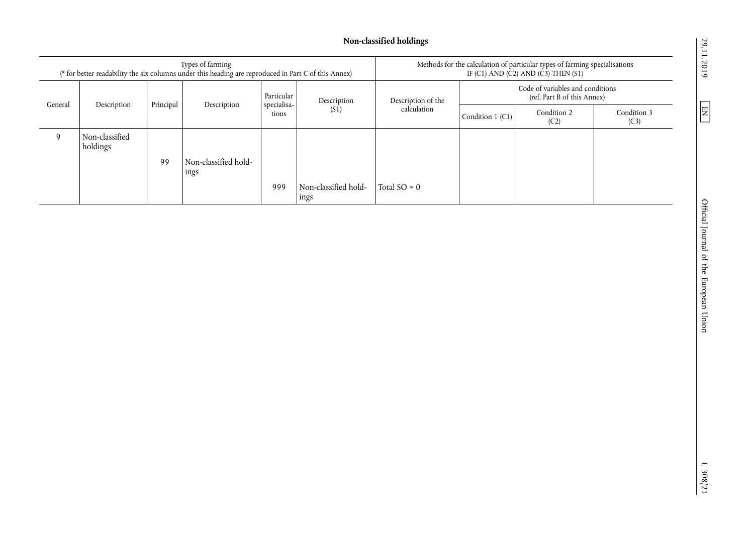# **Non-classified holdings**

| Types of farming<br>(* for better readability the six columns under this heading are reproduced in Part C of this Annex) |                            |           |                              | Methods for the calculation of particular types of farming specialisations<br>IF (C1) AND (C2) AND (C3) THEN (S1) |                              |                                   |                                                                 |                     |                     |
|--------------------------------------------------------------------------------------------------------------------------|----------------------------|-----------|------------------------------|-------------------------------------------------------------------------------------------------------------------|------------------------------|-----------------------------------|-----------------------------------------------------------------|---------------------|---------------------|
| General                                                                                                                  |                            |           |                              | Particular                                                                                                        | Description<br>(S1)          | Description of the<br>calculation | Code of variables and conditions<br>(ref. Part B of this Annex) |                     |                     |
|                                                                                                                          | Description                | Principal | Description                  | specialisa-<br>tions                                                                                              |                              |                                   | Condition $1$ (C1)                                              | Condition 2<br>(C2) | Condition 3<br>(C3) |
| 9                                                                                                                        | Non-classified<br>holdings |           |                              |                                                                                                                   |                              |                                   |                                                                 |                     |                     |
|                                                                                                                          |                            | 99        | Non-classified hold-<br>ings |                                                                                                                   |                              |                                   |                                                                 |                     |                     |
|                                                                                                                          |                            |           |                              | 999                                                                                                               | Non-classified hold-<br>ings | Total $SO = 0$                    |                                                                 |                     |                     |

29.11.2019

 $\boxed{\text{EN}}$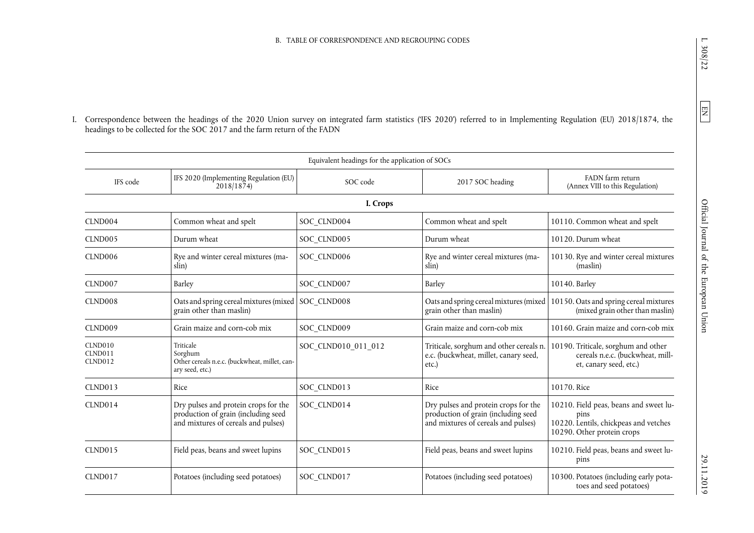I. Correspondence between the headings of the 2020 Union survey on integrated farm statistics ('IFS 2020') referred to in Implementing Regulation (EU) 2018/1874, the headings to be collected for the SOC 2017 and the farm return of the FADN

|                               |                                                                                                                    | Equivalent headings for the application of SOCs |                                                                                                                    |                                                                                                                       |
|-------------------------------|--------------------------------------------------------------------------------------------------------------------|-------------------------------------------------|--------------------------------------------------------------------------------------------------------------------|-----------------------------------------------------------------------------------------------------------------------|
| IFS code                      | IFS 2020 (Implementing Regulation (EU)<br>2018/1874                                                                | SOC code                                        | 2017 SOC heading                                                                                                   | FADN farm return<br>(Annex VIII to this Regulation)                                                                   |
|                               |                                                                                                                    | I. Crops                                        |                                                                                                                    |                                                                                                                       |
| CLND004                       | Common wheat and spelt                                                                                             | SOC CLND004                                     | Common wheat and spelt                                                                                             | 10110. Common wheat and spelt                                                                                         |
| CLND <sub>005</sub>           | Durum wheat                                                                                                        | SOC CLND005                                     | Durum wheat                                                                                                        | 10120. Durum wheat                                                                                                    |
| CLND <sub>006</sub>           | Rye and winter cereal mixtures (ma-<br>slin)                                                                       | SOC CLND006                                     | Rye and winter cereal mixtures (ma-<br>slin)                                                                       | 10130. Rye and winter cereal mixtures<br>(maslin)                                                                     |
| CLND007                       | Barley                                                                                                             | SOC_CLND007                                     | Barley                                                                                                             | 10140. Barley                                                                                                         |
| CLND008                       | Oats and spring cereal mixtures (mixed SOC CLND008<br>grain other than maslin)                                     |                                                 | Oats and spring cereal mixtures (mixed)<br>grain other than maslin)                                                | 10150. Oats and spring cereal mixtures<br>(mixed grain other than maslin)                                             |
| CLND009                       | Grain maize and corn-cob mix                                                                                       | SOC CLND009                                     | Grain maize and corn-cob mix                                                                                       | 10160. Grain maize and corn-cob mix                                                                                   |
| CLND010<br>CLND011<br>CLND012 | Triticale<br>Sorghum<br>Other cereals n.e.c. (buckwheat, millet, can-<br>ary seed, etc.)                           | SOC CLND010 011 012                             | Triticale, sorghum and other cereals n.<br>e.c. (buckwheat, millet, canary seed,<br>etc.                           | 10190. Triticale, sorghum and other<br>cereals n.e.c. (buckwheat, mill-<br>et, canary seed, etc.)                     |
| <b>CLND013</b>                | Rice                                                                                                               | SOC_CLND013                                     | Rice                                                                                                               | 10170. Rice                                                                                                           |
| CLND014                       | Dry pulses and protein crops for the<br>production of grain (including seed<br>and mixtures of cereals and pulses) | SOC CLND014                                     | Dry pulses and protein crops for the<br>production of grain (including seed<br>and mixtures of cereals and pulses) | 10210. Field peas, beans and sweet lu-<br>pins<br>10220. Lentils, chickpeas and vetches<br>10290. Other protein crops |
| <b>CLND015</b>                | Field peas, beans and sweet lupins                                                                                 | SOC CLND015                                     | Field peas, beans and sweet lupins                                                                                 | 10210. Field peas, beans and sweet lu-<br>pins                                                                        |
| <b>CLND017</b>                | Potatoes (including seed potatoes)                                                                                 | SOC CLND017                                     | Potatoes (including seed potatoes)                                                                                 | 10300. Potatoes (including early pota-<br>toes and seed potatoes)                                                     |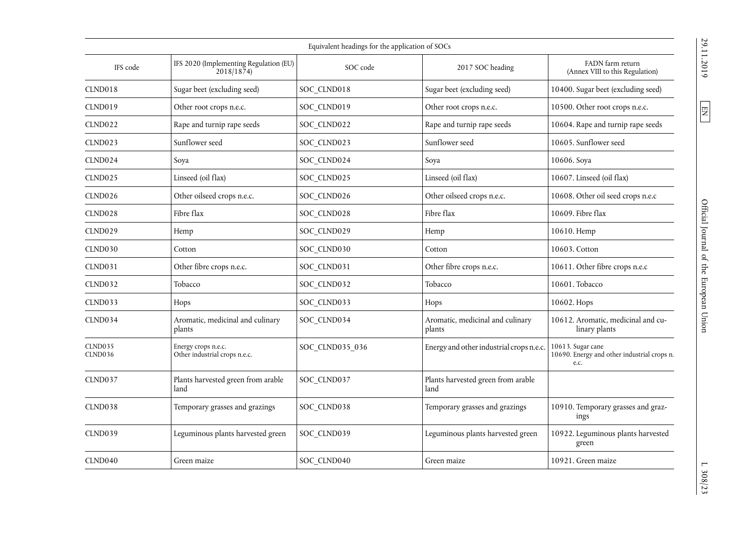| Equivalent headings for the application of SOCs |                                                      |                 |                                            |                                                                          |  |  |  |  |
|-------------------------------------------------|------------------------------------------------------|-----------------|--------------------------------------------|--------------------------------------------------------------------------|--|--|--|--|
| IFS code                                        | IFS 2020 (Implementing Regulation (EU)<br>2018/1874  | SOC code        | 2017 SOC heading                           | FADN farm return<br>(Annex VIII to this Regulation)                      |  |  |  |  |
| CLND018                                         | Sugar beet (excluding seed)                          | SOC CLND018     | Sugar beet (excluding seed)                | 10400. Sugar beet (excluding seed)                                       |  |  |  |  |
| CLND019                                         | Other root crops n.e.c.                              | SOC CLND019     | Other root crops n.e.c.                    | 10500. Other root crops n.e.c.                                           |  |  |  |  |
| <b>CLND022</b>                                  | Rape and turnip rape seeds                           | SOC CLND022     | Rape and turnip rape seeds                 | 10604. Rape and turnip rape seeds                                        |  |  |  |  |
| CLND023                                         | Sunflower seed                                       | SOC CLND023     | Sunflower seed                             | 10605. Sunflower seed                                                    |  |  |  |  |
| CLND <sub>024</sub>                             | Soya                                                 | SOC_CLND024     | Soya                                       | 10606. Soya                                                              |  |  |  |  |
| <b>CLND025</b>                                  | Linseed (oil flax)                                   | SOC CLND025     | Linseed (oil flax)                         | 10607. Linseed (oil flax)                                                |  |  |  |  |
| CLND026                                         | Other oilseed crops n.e.c.                           | SOC CLND026     | Other oilseed crops n.e.c.                 | 10608. Other oil seed crops n.e.c                                        |  |  |  |  |
| CLND028                                         | Fibre flax                                           | SOC CLND028     | Fibre flax                                 | 10609. Fibre flax                                                        |  |  |  |  |
| <b>CLND029</b>                                  | Hemp                                                 | SOC CLND029     | Hemp                                       | 10610. Hemp                                                              |  |  |  |  |
| CLND030                                         | Cotton                                               | SOC CLND030     | Cotton                                     | 10603. Cotton                                                            |  |  |  |  |
| <b>CLND031</b>                                  | Other fibre crops n.e.c.                             | SOC_CLND031     | Other fibre crops n.e.c.                   | 10611. Other fibre crops n.e.c                                           |  |  |  |  |
| <b>CLND032</b>                                  | Tobacco                                              | SOC CLND032     | Tobacco                                    | 10601. Tobacco                                                           |  |  |  |  |
| <b>CLND033</b>                                  | Hops                                                 | SOC_CLND033     | Hops                                       | 10602. Hops                                                              |  |  |  |  |
| CLND034                                         | Aromatic, medicinal and culinary<br>plants           | SOC CLND034     | Aromatic, medicinal and culinary<br>plants | 10612. Aromatic, medicinal and cu-<br>linary plants                      |  |  |  |  |
| <b>CLND035</b><br>CLND036                       | Energy crops n.e.c.<br>Other industrial crops n.e.c. | SOC CLND035 036 | Energy and other industrial crops n.e.c.   | 10613. Sugar cane<br>10690. Energy and other industrial crops n.<br>e.c. |  |  |  |  |
| <b>CLND037</b>                                  | Plants harvested green from arable<br>land           | SOC_CLND037     | Plants harvested green from arable<br>land |                                                                          |  |  |  |  |
| CLND038                                         | Temporary grasses and grazings                       | SOC CLND038     | Temporary grasses and grazings             | 10910. Temporary grasses and graz-<br>ings                               |  |  |  |  |
| CLND039                                         | Leguminous plants harvested green                    | SOC CLND039     | Leguminous plants harvested green          | 10922. Leguminous plants harvested<br>green                              |  |  |  |  |
| CLND040                                         | Green maize                                          | SOC CLND040     | Green maize                                | 10921. Green maize                                                       |  |  |  |  |

 $\boxed{\text{EN}}$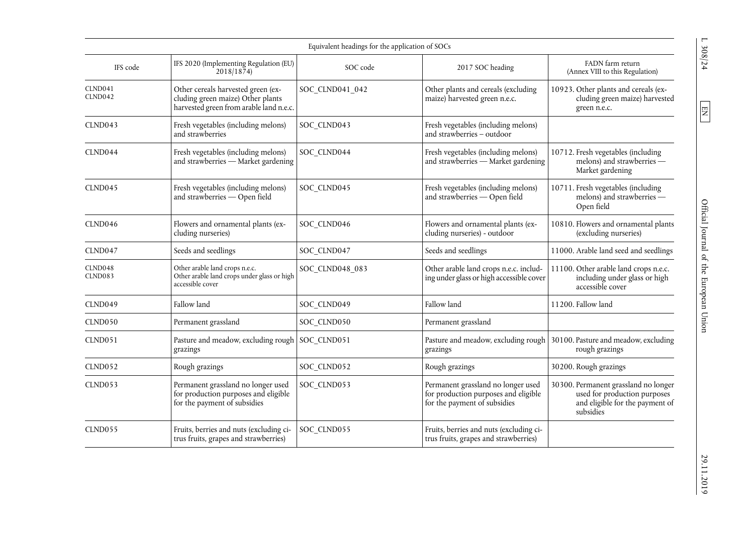|                           | Equivalent headings for the application of SOCs                                                                    |                 |                                                                                                            |                                                                                                                      |  |  |  |  |  |
|---------------------------|--------------------------------------------------------------------------------------------------------------------|-----------------|------------------------------------------------------------------------------------------------------------|----------------------------------------------------------------------------------------------------------------------|--|--|--|--|--|
| IFS code                  | IFS 2020 (Implementing Regulation (EU)<br>2018/1874                                                                | SOC code        | 2017 SOC heading                                                                                           | FADN farm return<br>(Annex VIII to this Regulation)                                                                  |  |  |  |  |  |
| CLND041<br><b>CLND042</b> | Other cereals harvested green (ex-<br>cluding green maize) Other plants<br>harvested green from arable land n.e.c. | SOC_CLND041_042 | Other plants and cereals (excluding<br>maize) harvested green n.e.c.                                       | 10923. Other plants and cereals (ex-<br>cluding green maize) harvested<br>green n.e.c.                               |  |  |  |  |  |
| CLND043                   | Fresh vegetables (including melons)<br>and strawberries                                                            | SOC CLND043     | Fresh vegetables (including melons)<br>and strawberries - outdoor                                          |                                                                                                                      |  |  |  |  |  |
| CLND044                   | Fresh vegetables (including melons)<br>and strawberries - Market gardening                                         | SOC CLND044     | Fresh vegetables (including melons)<br>and strawberries - Market gardening                                 | 10712. Fresh vegetables (including<br>melons) and strawberries -<br>Market gardening                                 |  |  |  |  |  |
| <b>CLND045</b>            | Fresh vegetables (including melons)<br>and strawberries - Open field                                               | SOC CLND045     | Fresh vegetables (including melons)<br>and strawberries - Open field                                       | 10711. Fresh vegetables (including<br>melons) and strawberries -<br>Open field                                       |  |  |  |  |  |
| CLND046                   | Flowers and ornamental plants (ex-<br>cluding nurseries)                                                           | SOC_CLND046     | Flowers and ornamental plants (ex-<br>cluding nurseries) - outdoor                                         | 10810. Flowers and ornamental plants<br>(excluding nurseries)                                                        |  |  |  |  |  |
| CLND047                   | Seeds and seedlings                                                                                                | SOC CLND047     | Seeds and seedlings                                                                                        | 11000. Arable land seed and seedlings                                                                                |  |  |  |  |  |
| CLND048<br><b>CLND083</b> | Other arable land crops n.e.c.<br>Other arable land crops under glass or high<br>accessible cover                  | SOC_CLND048_083 | Other arable land crops n.e.c. includ-<br>ing under glass or high accessible cover                         | 11100. Other arable land crops n.e.c.<br>including under glass or high<br>accessible cover                           |  |  |  |  |  |
| CLND049                   | Fallow land                                                                                                        | SOC CLND049     | Fallow land                                                                                                | 11200. Fallow land                                                                                                   |  |  |  |  |  |
| CLND050                   | Permanent grassland                                                                                                | SOC_CLND050     | Permanent grassland                                                                                        |                                                                                                                      |  |  |  |  |  |
| CLND051                   | Pasture and meadow, excluding rough<br>grazings                                                                    | SOC CLND051     | Pasture and meadow, excluding rough<br>grazings                                                            | 30100. Pasture and meadow, excluding<br>rough grazings                                                               |  |  |  |  |  |
| CLND052                   | Rough grazings                                                                                                     | SOC_CLND052     | Rough grazings                                                                                             | 30200. Rough grazings                                                                                                |  |  |  |  |  |
| CLND <sub>053</sub>       | Permanent grassland no longer used<br>for production purposes and eligible<br>for the payment of subsidies         | SOC_CLND053     | Permanent grassland no longer used<br>for production purposes and eligible<br>for the payment of subsidies | 30300. Permanent grassland no longer<br>used for production purposes<br>and eligible for the payment of<br>subsidies |  |  |  |  |  |
| <b>CLND055</b>            | Fruits, berries and nuts (excluding ci-<br>trus fruits, grapes and strawberries)                                   | SOC_CLND055     | Fruits, berries and nuts (excluding ci-<br>trus fruits, grapes and strawberries)                           |                                                                                                                      |  |  |  |  |  |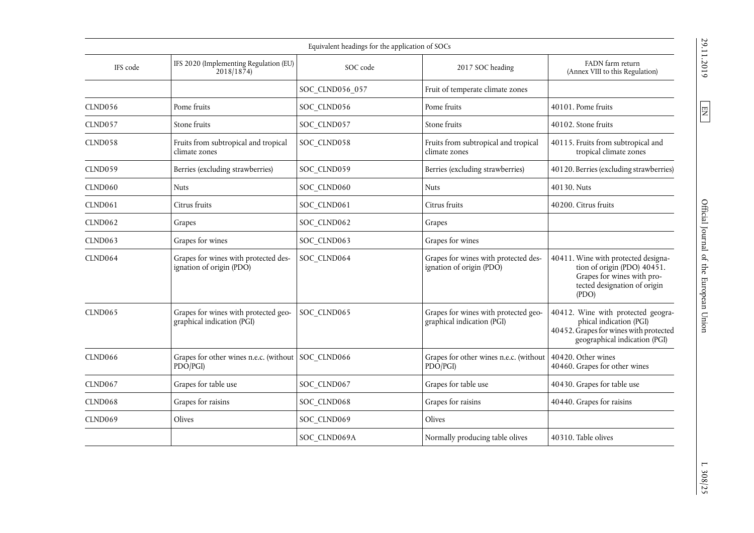|                |                                                                    | Equivalent headings for the application of SOCs |                                                                    |                                                                                                                                            |
|----------------|--------------------------------------------------------------------|-------------------------------------------------|--------------------------------------------------------------------|--------------------------------------------------------------------------------------------------------------------------------------------|
| IFS code       | IFS 2020 (Implementing Regulation (EU)<br>2018/1874                | SOC code                                        | 2017 SOC heading                                                   | FADN farm return<br>(Annex VIII to this Regulation)                                                                                        |
|                |                                                                    | SOC CLND056 057                                 | Fruit of temperate climate zones                                   |                                                                                                                                            |
| CLND056        | Pome fruits                                                        | SOC CLND056                                     | Pome fruits                                                        | 40101. Pome fruits                                                                                                                         |
| CLND057        | Stone fruits                                                       | SOC_CLND057                                     | Stone fruits                                                       | 40102. Stone fruits                                                                                                                        |
| CLND058        | Fruits from subtropical and tropical<br>climate zones              | SOC CLND058                                     | Fruits from subtropical and tropical<br>climate zones              | 40115. Fruits from subtropical and<br>tropical climate zones                                                                               |
| CLND059        | Berries (excluding strawberries)                                   | SOC CLND059                                     | Berries (excluding strawberries)                                   | 40120. Berries (excluding strawberries)                                                                                                    |
| CLND060        | <b>Nuts</b>                                                        | SOC CLND060                                     | Nuts                                                               | 40130. Nuts                                                                                                                                |
| <b>CLND061</b> | Citrus fruits                                                      | SOC CLND061                                     | Citrus fruits                                                      | 40200. Citrus fruits                                                                                                                       |
| <b>CLND062</b> | Grapes                                                             | SOC_CLND062                                     | Grapes                                                             |                                                                                                                                            |
| CLND063        | Grapes for wines                                                   | SOC_CLND063                                     | Grapes for wines                                                   |                                                                                                                                            |
| CLND064        | Grapes for wines with protected des-<br>ignation of origin (PDO)   | SOC_CLND064                                     | Grapes for wines with protected des-<br>ignation of origin (PDO)   | 40411. Wine with protected designa-<br>tion of origin (PDO) 40451.<br>Grapes for wines with pro-<br>tected designation of origin<br>( PDO) |
| <b>CLND065</b> | Grapes for wines with protected geo-<br>graphical indication (PGI) | SOC CLND065                                     | Grapes for wines with protected geo-<br>graphical indication (PGI) | 40412. Wine with protected geogra-<br>phical indication (PGI)<br>40452. Grapes for wines with protected<br>geographical indication (PGI)   |
| CLND066        | Grapes for other wines n.e.c. (without SOC CLND066<br>PDO/PGI)     |                                                 | Grapes for other wines n.e.c. (without<br>PDO/PGI)                 | 40420. Other wines<br>40460. Grapes for other wines                                                                                        |
| <b>CLND067</b> | Grapes for table use                                               | SOC CLND067                                     | Grapes for table use                                               | 40430. Grapes for table use                                                                                                                |
| CLND068        | Grapes for raisins                                                 | SOC_CLND068                                     | Grapes for raisins                                                 | 40440. Grapes for raisins                                                                                                                  |
| CLND069        | Olives                                                             | SOC_CLND069                                     | Olives                                                             |                                                                                                                                            |
|                |                                                                    | SOC CLND069A                                    | Normally producing table olives                                    | 40310. Table olives                                                                                                                        |

 $\boxed{\Xi}$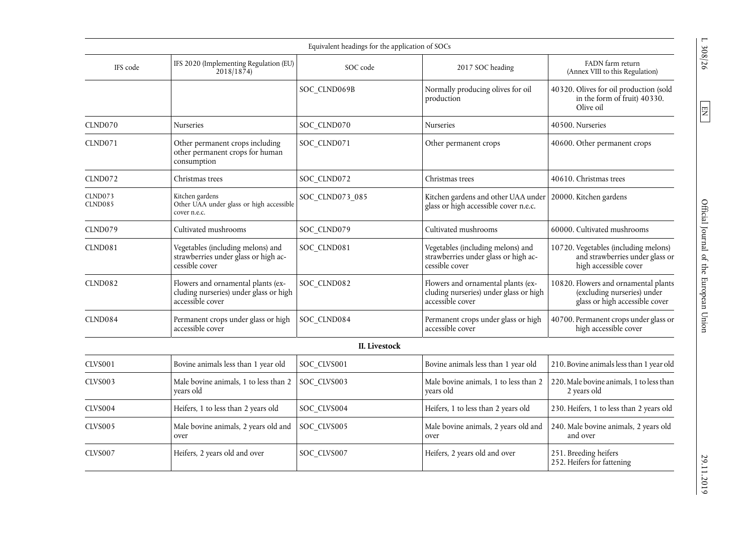|                           |                                                                                                  | Equivalent headings for the application of SOCs |                                                                                                  |                                                                                                       |
|---------------------------|--------------------------------------------------------------------------------------------------|-------------------------------------------------|--------------------------------------------------------------------------------------------------|-------------------------------------------------------------------------------------------------------|
| IFS code                  | IFS 2020 (Implementing Regulation (EU)<br>2018/1874                                              | SOC code                                        | 2017 SOC heading                                                                                 | FADN farm return<br>(Annex VIII to this Regulation)                                                   |
|                           |                                                                                                  | SOC_CLND069B                                    | Normally producing olives for oil<br>production                                                  | 40320. Olives for oil production (sold<br>in the form of fruit) 40330.<br>Olive oil                   |
| CLND070                   | Nurseries                                                                                        | SOC_CLND070                                     | <b>Nurseries</b>                                                                                 | 40500. Nurseries                                                                                      |
| CLND071                   | Other permanent crops including<br>other permanent crops for human<br>consumption                | SOC_CLND071                                     | Other permanent crops                                                                            | 40600. Other permanent crops                                                                          |
| CLND072                   | Christmas trees                                                                                  | SOC CLND072                                     | Christmas trees                                                                                  | 40610. Christmas trees                                                                                |
| CLND073<br><b>CLND085</b> | Kitchen gardens<br>Other UAA under glass or high accessible<br>cover n.e.c.                      | SOC_CLND073_085                                 | Kitchen gardens and other UAA under<br>glass or high accessible cover n.e.c.                     | 20000. Kitchen gardens                                                                                |
| CLND079                   | Cultivated mushrooms                                                                             | SOC CLND079                                     | Cultivated mushrooms                                                                             | 60000. Cultivated mushrooms                                                                           |
| CLND081                   | Vegetables (including melons) and<br>strawberries under glass or high ac-<br>cessible cover      | SOC CLND081                                     | Vegetables (including melons) and<br>strawberries under glass or high ac-<br>cessible cover      | 10720. Vegetables (including melons)<br>and strawberries under glass or<br>high accessible cover      |
| <b>CLND082</b>            | Flowers and ornamental plants (ex-<br>cluding nurseries) under glass or high<br>accessible cover | SOC CLND082                                     | Flowers and ornamental plants (ex-<br>cluding nurseries) under glass or high<br>accessible cover | 10820. Flowers and ornamental plants<br>(excluding nurseries) under<br>glass or high accessible cover |
| CLND084                   | Permanent crops under glass or high<br>accessible cover                                          | SOC_CLND084                                     | Permanent crops under glass or high<br>accessible cover                                          | 40700. Permanent crops under glass or<br>high accessible cover                                        |
|                           |                                                                                                  | II. Livestock                                   |                                                                                                  |                                                                                                       |
| CLVS001                   | Bovine animals less than 1 year old                                                              | SOC_CLVS001                                     | Bovine animals less than 1 year old                                                              | 210. Bovine animals less than 1 year old                                                              |
| CLVS003                   | Male bovine animals, 1 to less than 2<br>years old                                               | SOC_CLVS003                                     | Male bovine animals, 1 to less than 2<br>years old                                               | 220. Male bovine animals, 1 to less than<br>2 years old                                               |
| CLVS004                   | Heifers, 1 to less than 2 years old                                                              | SOC CLVS004                                     | Heifers, 1 to less than 2 years old                                                              | 230. Heifers, 1 to less than 2 years old                                                              |
| CLVS005                   | Male bovine animals, 2 years old and<br>over                                                     | SOC CLVS005                                     | Male bovine animals, 2 years old and<br>over                                                     | 240. Male bovine animals, 2 years old<br>and over                                                     |
| CLVS007                   | Heifers, 2 years old and over                                                                    | SOC CLVS007                                     | Heifers, 2 years old and over                                                                    | 251. Breeding heifers<br>252. Heifers for fattening                                                   |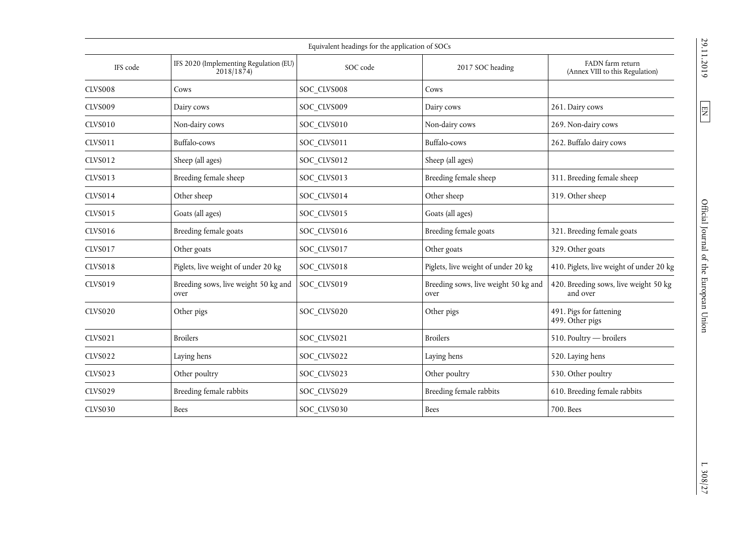|                | Equivalent headings for the application of SOCs     |             |                                              |                                                     |  |  |  |  |  |
|----------------|-----------------------------------------------------|-------------|----------------------------------------------|-----------------------------------------------------|--|--|--|--|--|
| IFS code       | IFS 2020 (Implementing Regulation (EU)<br>2018/1874 | SOC code    | 2017 SOC heading                             | FADN farm return<br>(Annex VIII to this Regulation) |  |  |  |  |  |
| <b>CLVS008</b> | Cows                                                | SOC CLVS008 | Cows                                         |                                                     |  |  |  |  |  |
| <b>CLVS009</b> | Dairy cows                                          | SOC_CLVS009 | Dairy cows                                   | 261. Dairy cows                                     |  |  |  |  |  |
| <b>CLVS010</b> | Non-dairy cows                                      | SOC CLVS010 | Non-dairy cows                               | 269. Non-dairy cows                                 |  |  |  |  |  |
| <b>CLVS011</b> | Buffalo-cows                                        | SOC CLVS011 | Buffalo-cows                                 | 262. Buffalo dairy cows                             |  |  |  |  |  |
| <b>CLVS012</b> | Sheep (all ages)                                    | SOC_CLVS012 | Sheep (all ages)                             |                                                     |  |  |  |  |  |
| <b>CLVS013</b> | Breeding female sheep                               | SOC_CLVS013 | Breeding female sheep                        | 311. Breeding female sheep                          |  |  |  |  |  |
| <b>CLVS014</b> | Other sheep                                         | SOC_CLVS014 | Other sheep                                  | 319. Other sheep                                    |  |  |  |  |  |
| <b>CLVS015</b> | Goats (all ages)                                    | SOC_CLVS015 | Goats (all ages)                             |                                                     |  |  |  |  |  |
| <b>CLVS016</b> | Breeding female goats                               | SOC_CLVS016 | Breeding female goats                        | 321. Breeding female goats                          |  |  |  |  |  |
| <b>CLVS017</b> | Other goats                                         | SOC_CLVS017 | Other goats                                  | 329. Other goats                                    |  |  |  |  |  |
| CLVS018        | Piglets, live weight of under 20 kg                 | SOC_CLVS018 | Piglets, live weight of under 20 kg          | 410. Piglets, live weight of under 20 kg            |  |  |  |  |  |
| <b>CLVS019</b> | Breeding sows, live weight 50 kg and<br>over        | SOC CLVS019 | Breeding sows, live weight 50 kg and<br>over | 420. Breeding sows, live weight 50 kg<br>and over   |  |  |  |  |  |
| <b>CLVS020</b> | Other pigs                                          | SOC CLVS020 | Other pigs                                   | 491. Pigs for fattening<br>499. Other pigs          |  |  |  |  |  |
| <b>CLVS021</b> | <b>Broilers</b>                                     | SOC CLVS021 | <b>Broilers</b>                              | 510. Poultry - broilers                             |  |  |  |  |  |
| <b>CLVS022</b> | Laying hens                                         | SOC_CLVS022 | Laying hens                                  | 520. Laying hens                                    |  |  |  |  |  |
| <b>CLVS023</b> | Other poultry                                       | SOC_CLVS023 | Other poultry                                | 530. Other poultry                                  |  |  |  |  |  |
| <b>CLVS029</b> | Breeding female rabbits                             | SOC_CLVS029 | Breeding female rabbits                      | 610. Breeding female rabbits                        |  |  |  |  |  |
| <b>CLVS030</b> | Bees                                                | SOC CLVS030 | <b>Bees</b>                                  | 700. Bees                                           |  |  |  |  |  |

 $\boxed{\text{EN}}$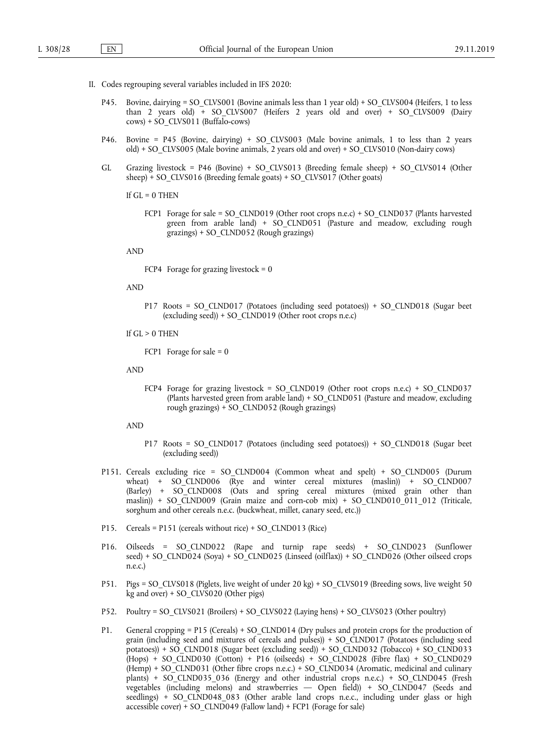- II. Codes regrouping several variables included in IFS 2020:
	- P45. Bovine, dairying = SO\_CLVS001 (Bovine animals less than 1 year old) + SO\_CLVS004 (Heifers, 1 to less than 2 years old) + SO\_CLVS007 (Heifers 2 years old and over) + SO\_CLVS009 (Dairy cows) + SO\_CLVS011 (Buffalo-cows)
	- P46. Bovine = P45 (Bovine, dairying) + SO\_CLVS003 (Male bovine animals, 1 to less than 2 years old) + SO\_CLVS005 (Male bovine animals, 2 years old and over) + SO\_CLVS010 (Non-dairy cows)
	- GL Grazing livestock = P46 (Bovine) + SO\_CLVS013 (Breeding female sheep) + SO\_CLVS014 (Other sheep) + SO\_CLVS016 (Breeding female goats) + SO\_CLVS017 (Other goats)

If  $GL = 0$  THEN

FCP1 Forage for sale = SO\_CLND019 (Other root crops n.e.c) + SO\_CLND037 (Plants harvested green from arable land) + SO\_CLND051 (Pasture and meadow, excluding rough grazings) + SO\_CLND052 (Rough grazings)

AND

FCP4 Forage for grazing livestock =  $0$ 

AND

P17 Roots = SO\_CLND017 (Potatoes (including seed potatoes)) + SO\_CLND018 (Sugar beet (excluding seed)) + SO\_CLND019 (Other root crops n.e.c)

If  $GL > 0$  THEN

FCP1 Forage for sale  $= 0$ 

AND

FCP4 Forage for grazing livestock = SO\_CLND019 (Other root crops n.e.c) + SO\_CLND037 (Plants harvested green from arable land) + SO\_CLND051 (Pasture and meadow, excluding rough grazings) + SO\_CLND052 (Rough grazings)

AND

- P17 Roots = SO\_CLND017 (Potatoes (including seed potatoes)) + SO\_CLND018 (Sugar beet (excluding seed))
- P151. Cereals excluding rice = SO\_CLND004 (Common wheat and spelt) + SO\_CLND005 (Durum wheat) +  $SO_C$ CLND006 (Rye and winter cereal mixtures (maslin)) +  $SO_C$ CLND007 (Barley) + SO\_CLND008 (Oats and spring cereal mixtures (mixed grain other than maslin)) + SO\_CLND009 (Grain maize and corn-cob mix) + SO\_CLND010\_011\_012 (Triticale, sorghum and other cereals n.e.c. (buckwheat, millet, canary seed, etc.))
- P15. Cereals = P151 (cereals without rice) + SO\_CLND013 (Rice)
- P16. Oilseeds = SO\_CLND022 (Rape and turnip rape seeds) + SO\_CLND023 (Sunflower seed) + SO\_CLND024 (Soya) + SO\_CLND025 (Linseed (oilflax)) + SO\_CLND026 (Other oilseed crops n.e.c.)
- P51. Pigs = SO\_CLVS018 (Piglets, live weight of under 20 kg) + SO\_CLVS019 (Breeding sows, live weight 50 kg and over) + SO\_CLVS020 (Other pigs)
- P52. Poultry = SO\_CLVS021 (Broilers) + SO\_CLVS022 (Laying hens) + SO\_CLVS023 (Other poultry)
- P1. General cropping = P15 (Cereals) + SO\_CLND014 (Dry pulses and protein crops for the production of grain (including seed and mixtures of cereals and pulses)) + SO\_CLND017 (Potatoes (including seed potatoes)) + SO\_CLND018 (Sugar beet (excluding seed)) + SO\_CLND032 (Tobacco) + SO\_CLND033 (Hops) + SO\_CLND030 (Cotton) + P16 (oilseeds) + SO\_CLND028 (Fibre flax) + SO\_CLND029 (Hemp) + SO\_CLND031 (Other fibre crops n.e.c.) + SO\_CLND034 (Aromatic, medicinal and culinary plants) + SO\_CLND035\_036 (Energy and other industrial crops n.e.c.) + SO\_CLND045 (Fresh vegetables (including melons) and strawberries — Open field)) + SO\_CLND047 (Seeds and seedlings) + SO\_CLND048\_083 (Other arable land crops n.e.c., including under glass or high accessible cover) +  $SO_{CLND}049$  (Fallow land) + FCP1 (Forage for sale)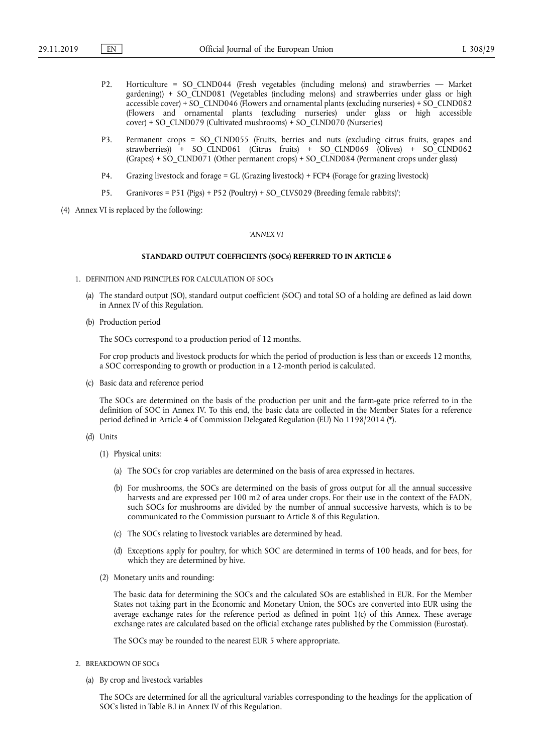- P2. Horticulture = SO\_CLND044 (Fresh vegetables (including melons) and strawberries Market gardening)) + SO\_CLND081 (Vegetables (including melons) and strawberries under glass or high accessible cover) + SO\_CLND046 (Flowers and ornamental plants (excluding nurseries) + SO\_CLND082 (Flowers and ornamental plants (excluding nurseries) under glass or high accessible cover) + SO\_CLND079 (Cultivated mushrooms) + SO\_CLND070 (Nurseries)
- P3. Permanent crops = SO\_CLND055 (Fruits, berries and nuts (excluding citrus fruits, grapes and strawberries)) + SO\_CLND061 (Citrus fruits) + SO\_CLND069 (Olives) + SO\_CLND062 (Grapes) + SO\_CLND071 (Other permanent crops) + SO\_CLND084 (Permanent crops under glass)
- P4. Grazing livestock and forage = GL (Grazing livestock) + FCP4 (Forage for grazing livestock)
- P5. Granivores = P51 (Pigs) + P52 (Poultry) + SO\_CLVS029 (Breeding female rabbits)';
- (4) Annex VI is replaced by the following:

#### *'ANNEX VI*

#### **STANDARD OUTPUT COEFFICIENTS (SOCs) REFERRED TO IN ARTICLE 6**

- 1. DEFINITION AND PRINCIPLES FOR CALCULATION OF SOCs
	- (a) The standard output (SO), standard output coefficient (SOC) and total SO of a holding are defined as laid down in Annex IV of this Regulation.
	- (b) Production period

The SOCs correspond to a production period of 12 months.

For crop products and livestock products for which the period of production is less than or exceeds 12 months, a SOC corresponding to growth or production in a 12-month period is calculated.

(c) Basic data and reference period

The SOCs are determined on the basis of the production per unit and the farm-gate price referred to in the definition of SOC in Annex IV. To this end, the basic data are collected in the Member States for a reference period defined in Article 4 of Commission Delegated Regulation (EU) No 1198/2014 (\*).

- (d) Units
	- (1) Physical units:
		- (a) The SOCs for crop variables are determined on the basis of area expressed in hectares.
		- (b) For mushrooms, the SOCs are determined on the basis of gross output for all the annual successive harvests and are expressed per 100 m2 of area under crops. For their use in the context of the FADN, such SOCs for mushrooms are divided by the number of annual successive harvests, which is to be communicated to the Commission pursuant to Article 8 of this Regulation.
		- (c) The SOCs relating to livestock variables are determined by head.
		- (d) Exceptions apply for poultry, for which SOC are determined in terms of 100 heads, and for bees, for which they are determined by hive.
	- (2) Monetary units and rounding:

The basic data for determining the SOCs and the calculated SOs are established in EUR. For the Member States not taking part in the Economic and Monetary Union, the SOCs are converted into EUR using the average exchange rates for the reference period as defined in point 1(c) of this Annex. These average exchange rates are calculated based on the official exchange rates published by the Commission (Eurostat).

The SOCs may be rounded to the nearest EUR 5 where appropriate.

- 2. BREAKDOWN OF SOCs
	- (a) By crop and livestock variables

The SOCs are determined for all the agricultural variables corresponding to the headings for the application of SOCs listed in Table B.I in Annex IV of this Regulation.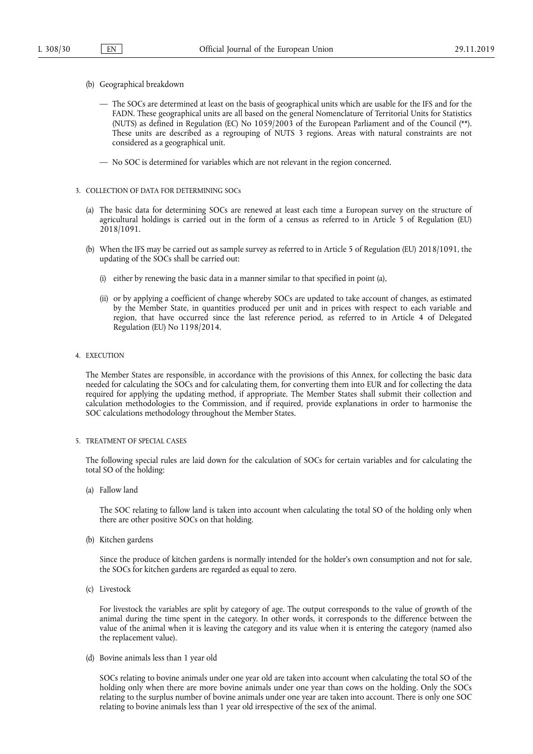- (b) Geographical breakdown
	- The SOCs are determined at least on the basis of geographical units which are usable for the IFS and for the FADN. These geographical units are all based on the general Nomenclature of Territorial Units for Statistics (NUTS) as defined in Regulation (EC) No 1059/2003 of the European Parliament and of the Council (\*\*). These units are described as a regrouping of NUTS 3 regions. Areas with natural constraints are not considered as a geographical unit.
	- No SOC is determined for variables which are not relevant in the region concerned.
- 3. COLLECTION OF DATA FOR DETERMINING SOCs
	- (a) The basic data for determining SOCs are renewed at least each time a European survey on the structure of agricultural holdings is carried out in the form of a census as referred to in Article 5 of Regulation (EU) 2018/1091.
	- (b) When the IFS may be carried out as sample survey as referred to in Article 5 of Regulation (EU) 2018/1091, the updating of the SOCs shall be carried out:
		- (i) either by renewing the basic data in a manner similar to that specified in point (a),
		- (ii) or by applying a coefficient of change whereby SOCs are updated to take account of changes, as estimated by the Member State, in quantities produced per unit and in prices with respect to each variable and region, that have occurred since the last reference period, as referred to in Article 4 of Delegated Regulation (EU) No 1198/2014.
- 4. EXECUTION

The Member States are responsible, in accordance with the provisions of this Annex, for collecting the basic data needed for calculating the SOCs and for calculating them, for converting them into EUR and for collecting the data required for applying the updating method, if appropriate. The Member States shall submit their collection and calculation methodologies to the Commission, and if required, provide explanations in order to harmonise the SOC calculations methodology throughout the Member States.

5. TREATMENT OF SPECIAL CASES

The following special rules are laid down for the calculation of SOCs for certain variables and for calculating the total SO of the holding:

(a) Fallow land

The SOC relating to fallow land is taken into account when calculating the total SO of the holding only when there are other positive SOCs on that holding.

(b) Kitchen gardens

Since the produce of kitchen gardens is normally intended for the holder's own consumption and not for sale, the SOCs for kitchen gardens are regarded as equal to zero.

(c) Livestock

For livestock the variables are split by category of age. The output corresponds to the value of growth of the animal during the time spent in the category. In other words, it corresponds to the difference between the value of the animal when it is leaving the category and its value when it is entering the category (named also the replacement value).

(d) Bovine animals less than 1 year old

SOCs relating to bovine animals under one year old are taken into account when calculating the total SO of the holding only when there are more bovine animals under one year than cows on the holding. Only the SOCs relating to the surplus number of bovine animals under one year are taken into account. There is only one SOC relating to bovine animals less than 1 year old irrespective of the sex of the animal.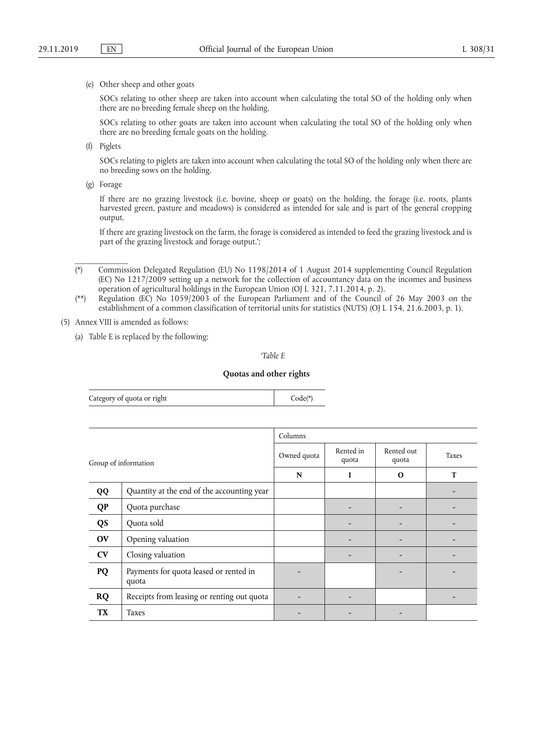#### (e) Other sheep and other goats

SOCs relating to other sheep are taken into account when calculating the total SO of the holding only when there are no breeding female sheep on the holding.

SOCs relating to other goats are taken into account when calculating the total SO of the holding only when there are no breeding female goats on the holding.

(f) Piglets

SOCs relating to piglets are taken into account when calculating the total SO of the holding only when there are no breeding sows on the holding.

(g) Forage

\_\_\_\_\_\_\_\_\_\_\_\_\_

If there are no grazing livestock (i.e. bovine, sheep or goats) on the holding, the forage (i.e. roots, plants harvested green, pasture and meadows) is considered as intended for sale and is part of the general cropping output.

If there are grazing livestock on the farm, the forage is considered as intended to feed the grazing livestock and is part of the grazing livestock and forage output.';

- (\*) Commission Delegated Regulation (EU) No 1198/2014 of 1 August 2014 supplementing Council Regulation (EC) No 1217/2009 setting up a network for the collection of accountancy data on the incomes and business operation of agricultural holdings in the European Union (OJ L 321, 7.11.2014, p. 2).
- (\*\*) Regulation (EC) No 1059/2003 of the European Parliament and of the Council of 26 May 2003 on the establishment of a common classification of territorial units for statistics (NUTS) (OJ L 154, 21.6.2003, p. 1).

### (5) Annex VIII is amended as follows:

(a) Table E is replaced by the following:

#### *'Table E*

#### **Quotas and other rights**

| Category of quota or right | $Code(*)$ |
|----------------------------|-----------|
|----------------------------|-----------|

|           |                                                 | Columns |                    |                     |       |
|-----------|-------------------------------------------------|---------|--------------------|---------------------|-------|
|           | Group of information                            |         | Rented in<br>quota | Rented out<br>quota | Taxes |
|           |                                                 |         | I                  | $\Omega$            | T     |
| QQ        | Quantity at the end of the accounting year      |         |                    |                     |       |
| <b>QP</b> | Quota purchase                                  |         |                    |                     |       |
| <b>QS</b> | Quota sold                                      |         |                    |                     |       |
| OV        | Opening valuation                               |         |                    |                     |       |
| CV        | Closing valuation                               |         |                    |                     |       |
| PQ        | Payments for quota leased or rented in<br>quota |         |                    |                     |       |
| <b>RQ</b> | Receipts from leasing or renting out quota      |         |                    |                     |       |
| <b>TX</b> | Taxes                                           |         |                    |                     |       |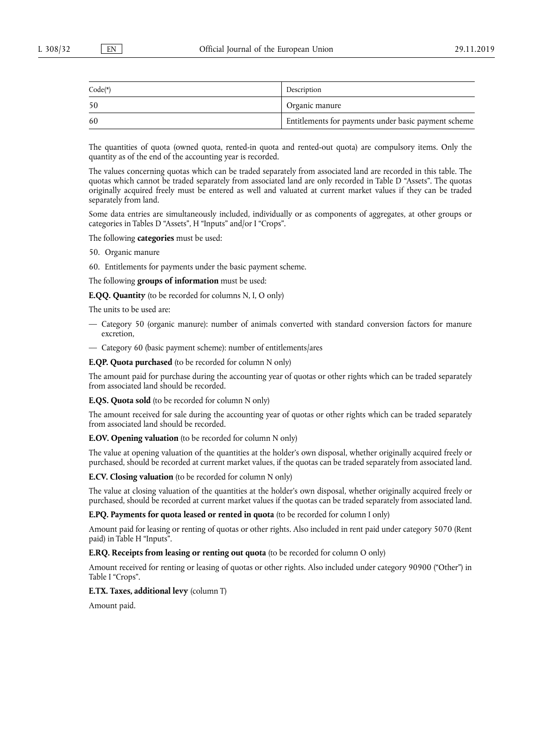| $Code(*)$ | Description                                          |
|-----------|------------------------------------------------------|
| 50        | Organic manure                                       |
| 60        | Entitlements for payments under basic payment scheme |

The quantities of quota (owned quota, rented-in quota and rented-out quota) are compulsory items. Only the quantity as of the end of the accounting year is recorded.

The values concerning quotas which can be traded separately from associated land are recorded in this table. The quotas which cannot be traded separately from associated land are only recorded in Table D "Assets". The quotas originally acquired freely must be entered as well and valuated at current market values if they can be traded separately from land.

Some data entries are simultaneously included, individually or as components of aggregates, at other groups or categories in Tables D "Assets", H "Inputs" and/or I "Crops".

The following **categories** must be used:

- 50. Organic manure
- 60. Entitlements for payments under the basic payment scheme.

The following **groups of information** must be used:

**E.QQ. Quantity** (to be recorded for columns N, I, O only)

The units to be used are:

- Category 50 (organic manure): number of animals converted with standard conversion factors for manure excretion,
- Category 60 (basic payment scheme): number of entitlements/ares

**E.QP. Quota purchased** (to be recorded for column N only)

The amount paid for purchase during the accounting year of quotas or other rights which can be traded separately from associated land should be recorded.

**E.QS. Quota sold** (to be recorded for column N only)

The amount received for sale during the accounting year of quotas or other rights which can be traded separately from associated land should be recorded.

**E.OV. Opening valuation** (to be recorded for column N only)

The value at opening valuation of the quantities at the holder's own disposal, whether originally acquired freely or purchased, should be recorded at current market values, if the quotas can be traded separately from associated land.

**E.CV. Closing valuation** (to be recorded for column N only)

The value at closing valuation of the quantities at the holder's own disposal, whether originally acquired freely or purchased, should be recorded at current market values if the quotas can be traded separately from associated land.

**E.PQ. Payments for quota leased or rented in quota** (to be recorded for column I only)

Amount paid for leasing or renting of quotas or other rights. Also included in rent paid under category 5070 (Rent paid) in Table H "Inputs".

**E.RQ. Receipts from leasing or renting out quota** (to be recorded for column O only)

Amount received for renting or leasing of quotas or other rights. Also included under category 90900 ("Other") in Table I "Crops".

### **E.TX. Taxes, additional levy** (column T)

Amount paid.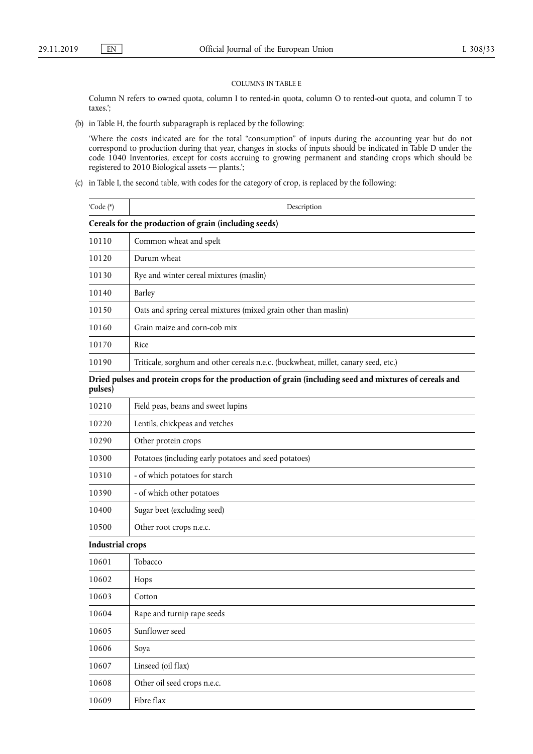#### COLUMNS IN TABLE E

Column N refers to owned quota, column I to rented-in quota, column O to rented-out quota, and column T to taxes.';

(b) in Table H, the fourth subparagraph is replaced by the following:

'Where the costs indicated are for the total "consumption" of inputs during the accounting year but do not correspond to production during that year, changes in stocks of inputs should be indicated in Table D under the code 1040 Inventories, except for costs accruing to growing permanent and standing crops which should be registered to 2010 Biological assets — plants.';

(c) in Table I, the second table, with codes for the category of crop, is replaced by the following:

| 'Code (*)               | Description                                                                                            |
|-------------------------|--------------------------------------------------------------------------------------------------------|
|                         | Cereals for the production of grain (including seeds)                                                  |
| 10110                   | Common wheat and spelt                                                                                 |
| 10120                   | Durum wheat                                                                                            |
| 10130                   | Rye and winter cereal mixtures (maslin)                                                                |
| 10140                   | Barley                                                                                                 |
| 10150                   | Oats and spring cereal mixtures (mixed grain other than maslin)                                        |
| 10160                   | Grain maize and corn-cob mix                                                                           |
| 10170                   | Rice                                                                                                   |
| 10190                   | Triticale, sorghum and other cereals n.e.c. (buckwheat, millet, canary seed, etc.)                     |
| pulses)                 | Dried pulses and protein crops for the production of grain (including seed and mixtures of cereals and |
| 10210                   | Field peas, beans and sweet lupins                                                                     |
| 10220                   | Lentils, chickpeas and vetches                                                                         |
| 10290                   | Other protein crops                                                                                    |
| 10300                   | Potatoes (including early potatoes and seed potatoes)                                                  |
| 10310                   | - of which potatoes for starch                                                                         |
| 10390                   | - of which other potatoes                                                                              |
| 10400                   | Sugar beet (excluding seed)                                                                            |
| 10500                   | Other root crops n.e.c.                                                                                |
| <b>Industrial crops</b> |                                                                                                        |
| 10601                   | Tobacco                                                                                                |
| 10602                   | Hops                                                                                                   |
| 10603                   | Cotton                                                                                                 |
| 10604                   | Rape and turnip rape seeds                                                                             |
| 10605                   | Sunflower seed                                                                                         |
| 10606                   | Soya                                                                                                   |
| 10607                   | Linseed (oil flax)                                                                                     |
| 10608                   | Other oil seed crops n.e.c.                                                                            |
| 10609                   | Fibre flax                                                                                             |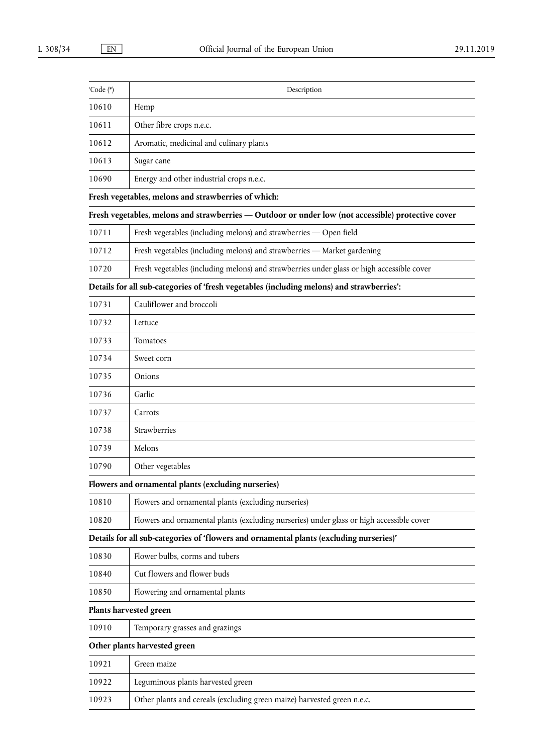| 'Code (*) | Description                                                                                        |
|-----------|----------------------------------------------------------------------------------------------------|
| 10610     | Hemp                                                                                               |
| 10611     | Other fibre crops n.e.c.                                                                           |
| 10612     | Aromatic, medicinal and culinary plants                                                            |
| 10613     | Sugar cane                                                                                         |
| 10690     | Energy and other industrial crops n.e.c.                                                           |
|           | Fresh vegetables, melons and strawberries of which:                                                |
|           | Fresh vegetables, melons and strawberries - Outdoor or under low (not accessible) protective cover |
| 10711     | Fresh vegetables (including melons) and strawberries - Open field                                  |
| 10712     | Fresh vegetables (including melons) and strawberries - Market gardening                            |
| 10720     | Fresh vegetables (including melons) and strawberries under glass or high accessible cover          |
|           | Details for all sub-categories of 'fresh vegetables (including melons) and strawberries':          |
| 10731     | Cauliflower and broccoli                                                                           |
| 10732     | Lettuce                                                                                            |
| 10733     | Tomatoes                                                                                           |
| 10734     | Sweet corn                                                                                         |
| 10735     | Onions                                                                                             |
| 10736     | Garlic                                                                                             |
| 10737     | Carrots                                                                                            |
| 10738     | Strawberries                                                                                       |
| 10739     | Melons                                                                                             |
| 10790     | Other vegetables                                                                                   |
|           | Flowers and ornamental plants (excluding nurseries)                                                |
| 10810     | Flowers and ornamental plants (excluding nurseries)                                                |
| 10820     | Flowers and ornamental plants (excluding nurseries) under glass or high accessible cover           |
|           | Details for all sub-categories of 'flowers and ornamental plants (excluding nurseries)'            |
| 10830     | Flower bulbs, corms and tubers                                                                     |
| 10840     | Cut flowers and flower buds                                                                        |
| 10850     | Flowering and ornamental plants                                                                    |
|           | Plants harvested green                                                                             |
| 10910     | Temporary grasses and grazings                                                                     |
|           | Other plants harvested green                                                                       |
| 10921     | Green maize                                                                                        |
| 10922     | Leguminous plants harvested green                                                                  |
| 10923     | Other plants and cereals (excluding green maize) harvested green n.e.c.                            |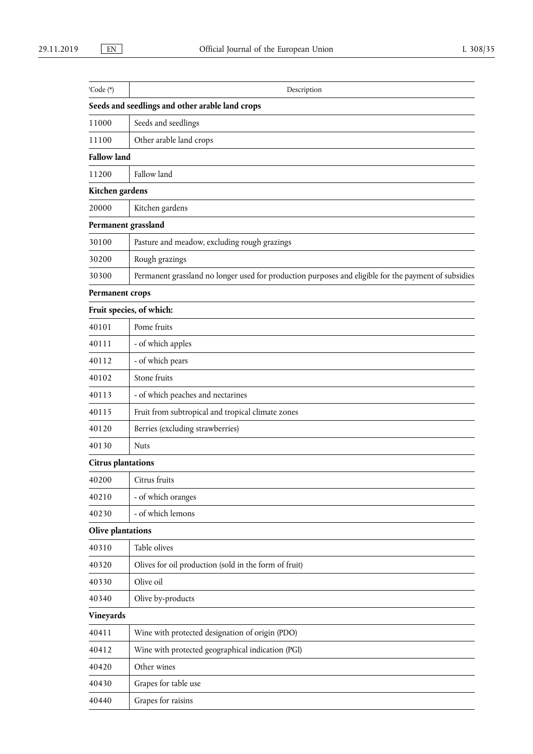| 'Code (*)                 | Description                                                                                          |
|---------------------------|------------------------------------------------------------------------------------------------------|
|                           | Seeds and seedlings and other arable land crops                                                      |
| 11000                     | Seeds and seedlings                                                                                  |
| 11100                     | Other arable land crops                                                                              |
| <b>Fallow land</b>        |                                                                                                      |
| 11200                     | Fallow land                                                                                          |
| Kitchen gardens           |                                                                                                      |
| 20000                     | Kitchen gardens                                                                                      |
|                           | Permanent grassland                                                                                  |
| 30100                     | Pasture and meadow, excluding rough grazings                                                         |
| 30200                     | Rough grazings                                                                                       |
| 30300                     | Permanent grassland no longer used for production purposes and eligible for the payment of subsidies |
| Permanent crops           |                                                                                                      |
|                           | Fruit species, of which:                                                                             |
| 40101                     | Pome fruits                                                                                          |
| 40111                     | - of which apples                                                                                    |
| 40112                     | - of which pears                                                                                     |
| 40102                     | Stone fruits                                                                                         |
| 40113                     | - of which peaches and nectarines                                                                    |
| 40115                     | Fruit from subtropical and tropical climate zones                                                    |
| 40120                     | Berries (excluding strawberries)                                                                     |
| 40130                     | <b>Nuts</b>                                                                                          |
| <b>Citrus plantations</b> |                                                                                                      |
| 40200                     | Citrus fruits                                                                                        |
| 40210                     | - of which oranges                                                                                   |
| 40230                     | - of which lemons                                                                                    |
| Olive plantations         |                                                                                                      |
| 40310                     | Table olives                                                                                         |
| 40320                     | Olives for oil production (sold in the form of fruit)                                                |
| 40330                     | Olive oil                                                                                            |
| 40340                     | Olive by-products                                                                                    |
| Vineyards                 |                                                                                                      |
| 40411                     | Wine with protected designation of origin (PDO)                                                      |
| 40412                     | Wine with protected geographical indication (PGI)                                                    |
| 40420                     | Other wines                                                                                          |
| 40430                     | Grapes for table use                                                                                 |
| 40440                     | Grapes for raisins                                                                                   |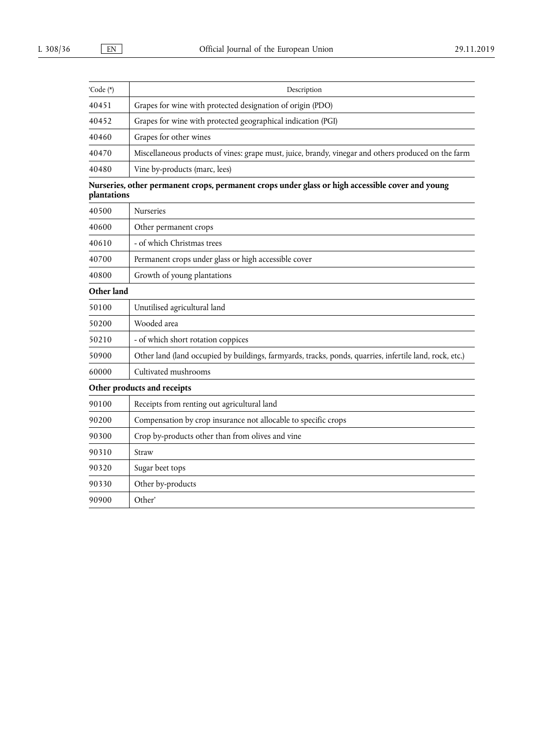| 'Code (*) | Description                                                                                         |
|-----------|-----------------------------------------------------------------------------------------------------|
| 40451     | Grapes for wine with protected designation of origin (PDO)                                          |
| 40452     | Grapes for wine with protected geographical indication (PGI)                                        |
| 40460     | Grapes for other wines                                                                              |
| 40470     | Miscellaneous products of vines: grape must, juice, brandy, vinegar and others produced on the farm |
| 40480     | Vine by-products (marc, lees)                                                                       |

|             | Nurseries, other permanent crops, permanent crops under glass or high accessible cover and young |  |  |  |
|-------------|--------------------------------------------------------------------------------------------------|--|--|--|
| plantations |                                                                                                  |  |  |  |

| 40500      | <b>Nurseries</b>                                                                                        |
|------------|---------------------------------------------------------------------------------------------------------|
| 40600      | Other permanent crops                                                                                   |
| 40610      | - of which Christmas trees                                                                              |
| 40700      | Permanent crops under glass or high accessible cover                                                    |
| 40800      | Growth of young plantations                                                                             |
| Other land |                                                                                                         |
| 50100      | Unutilised agricultural land                                                                            |
| 50200      | Wooded area                                                                                             |
| 50210      | - of which short rotation coppices                                                                      |
| 50900      | Other land (land occupied by buildings, farmyards, tracks, ponds, quarries, infertile land, rock, etc.) |
| 60000      | Cultivated mushrooms                                                                                    |
|            | Other products and receipts                                                                             |
| 90100      | Receipts from renting out agricultural land                                                             |
| 90200      | Compensation by crop insurance not allocable to specific crops                                          |
| 90300      | Crop by-products other than from olives and vine                                                        |
| 90310      | Straw                                                                                                   |
| 90320      | Sugar beet tops                                                                                         |
| 90330      | Other by-products                                                                                       |
| 90900      | Other'                                                                                                  |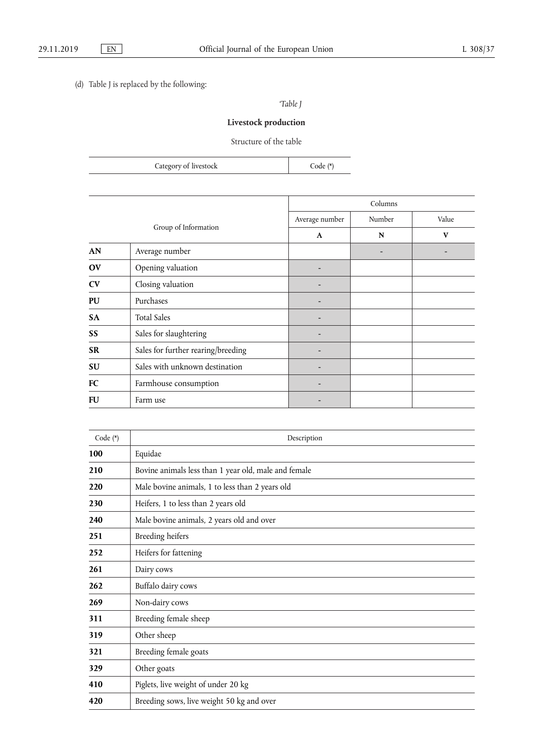## (d) Table J is replaced by the following:

*'Table J* 

# **Livestock production**

Structure of the table

|                      | Category of livestock              | Code (*)       |         |       |
|----------------------|------------------------------------|----------------|---------|-------|
|                      |                                    |                |         |       |
|                      |                                    |                | Columns |       |
| Group of Information |                                    | Average number | Number  | Value |
|                      |                                    | $\mathbf{A}$   | N       | V     |
| AN                   | Average number                     |                |         |       |
| OV                   | Opening valuation                  |                |         |       |
| CV                   | Closing valuation                  |                |         |       |
| PU                   | Purchases                          |                |         |       |
| <b>SA</b>            | <b>Total Sales</b>                 |                |         |       |
| SS                   | Sales for slaughtering             |                |         |       |
| <b>SR</b>            | Sales for further rearing/breeding |                |         |       |
| <b>SU</b>            | Sales with unknown destination     |                |         |       |

**FC** Farmhouse consumption  $\vert$  -**FU** Farm use  $\left| \begin{array}{ccc} \end{array} \right|$ 

| Code (*) | Description                                          |
|----------|------------------------------------------------------|
| 100      | Equidae                                              |
| 210      | Bovine animals less than 1 year old, male and female |
| 220      | Male bovine animals, 1 to less than 2 years old      |
| 230      | Heifers, 1 to less than 2 years old                  |
| 240      | Male bovine animals, 2 years old and over            |
| 251      | Breeding heifers                                     |
| 252      | Heifers for fattening                                |
| 261      | Dairy cows                                           |
| 262      | Buffalo dairy cows                                   |
| 269      | Non-dairy cows                                       |
| 311      | Breeding female sheep                                |
| 319      | Other sheep                                          |
| 321      | Breeding female goats                                |
| 329      | Other goats                                          |
| 410      | Piglets, live weight of under 20 kg                  |
| 420      | Breeding sows, live weight 50 kg and over            |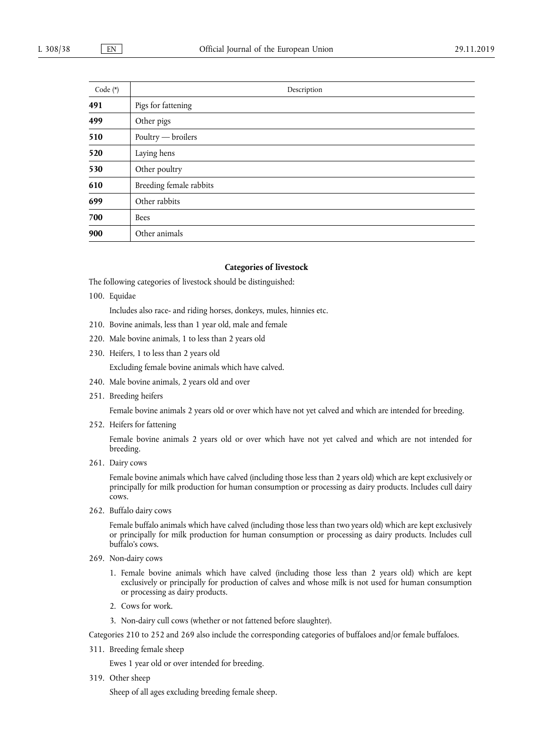| Code (*) | Description             |
|----------|-------------------------|
| 491      | Pigs for fattening      |
| 499      | Other pigs              |
| 510      | Poultry — broilers      |
| 520      | Laying hens             |
| 530      | Other poultry           |
| 610      | Breeding female rabbits |
| 699      | Other rabbits           |
| 700      | <b>Bees</b>             |
| 900      | Other animals           |

## **Categories of livestock**

The following categories of livestock should be distinguished:

100. Equidae

Includes also race- and riding horses, donkeys, mules, hinnies etc.

- 210. Bovine animals, less than 1 year old, male and female
- 220. Male bovine animals, 1 to less than 2 years old
- 230. Heifers, 1 to less than 2 years old

Excluding female bovine animals which have calved.

- 240. Male bovine animals, 2 years old and over
- 251. Breeding heifers

Female bovine animals 2 years old or over which have not yet calved and which are intended for breeding.

252. Heifers for fattening

Female bovine animals 2 years old or over which have not yet calved and which are not intended for breeding.

261. Dairy cows

Female bovine animals which have calved (including those less than 2 years old) which are kept exclusively or principally for milk production for human consumption or processing as dairy products. Includes cull dairy cows.

262. Buffalo dairy cows

Female buffalo animals which have calved (including those less than two years old) which are kept exclusively or principally for milk production for human consumption or processing as dairy products. Includes cull buffalo's cows.

- 269. Non-dairy cows
	- 1. Female bovine animals which have calved (including those less than 2 years old) which are kept exclusively or principally for production of calves and whose milk is not used for human consumption or processing as dairy products.
	- 2. Cows for work.
	- 3. Non-dairy cull cows (whether or not fattened before slaughter).

Categories 210 to 252 and 269 also include the corresponding categories of buffaloes and/or female buffaloes.

311. Breeding female sheep

Ewes 1 year old or over intended for breeding.

319. Other sheep

Sheep of all ages excluding breeding female sheep.